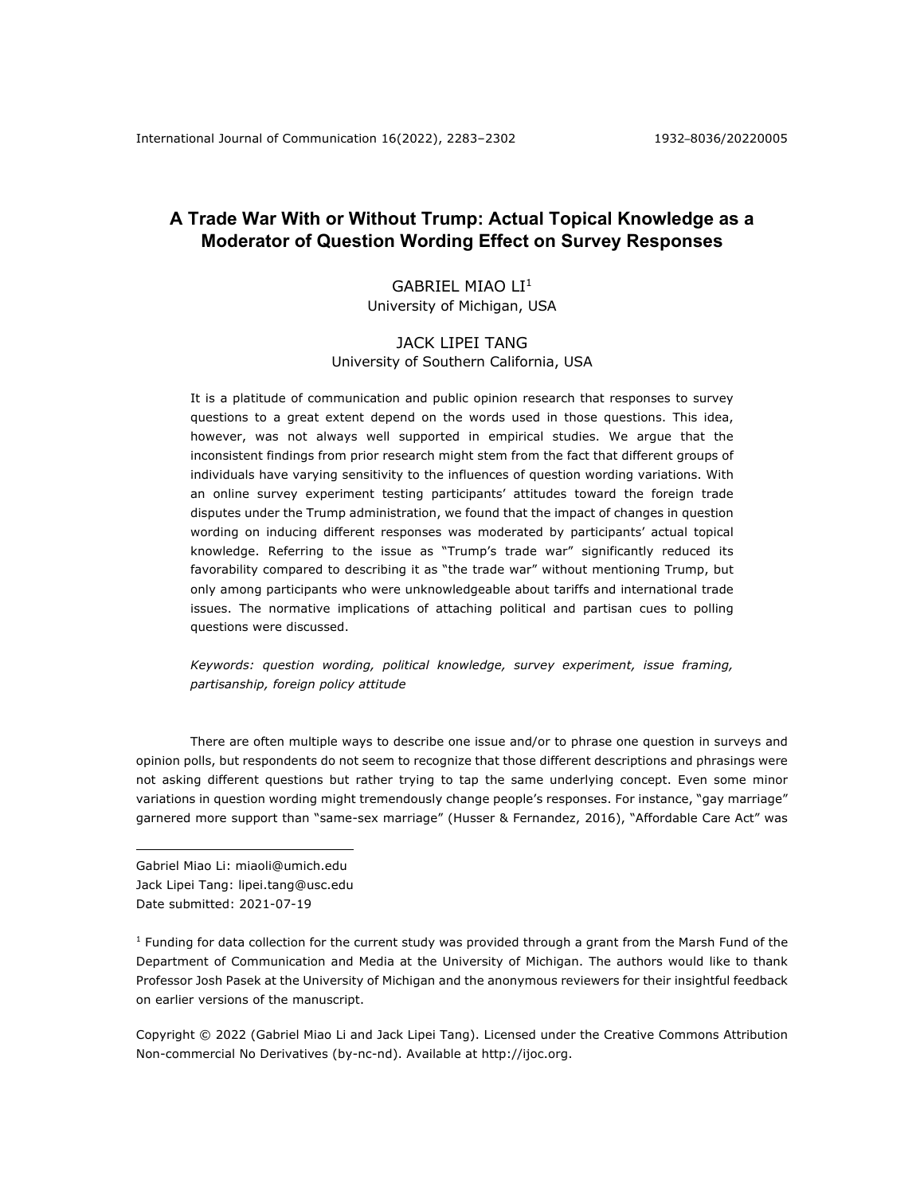# **A Trade War With or Without Trump: Actual Topical Knowledge as a Moderator of Question Wording Effect on Survey Responses**

# GABRIEL MIAO LI1 University of Michigan, USA

# JACK LIPEI TANG University of Southern California, USA

It is a platitude of communication and public opinion research that responses to survey questions to a great extent depend on the words used in those questions. This idea, however, was not always well supported in empirical studies. We argue that the inconsistent findings from prior research might stem from the fact that different groups of individuals have varying sensitivity to the influences of question wording variations. With an online survey experiment testing participants' attitudes toward the foreign trade disputes under the Trump administration, we found that the impact of changes in question wording on inducing different responses was moderated by participants' actual topical knowledge. Referring to the issue as "Trump's trade war" significantly reduced its favorability compared to describing it as "the trade war" without mentioning Trump, but only among participants who were unknowledgeable about tariffs and international trade issues. The normative implications of attaching political and partisan cues to polling questions were discussed.

# *Keywords: question wording, political knowledge, survey experiment, issue framing, partisanship, foreign policy attitude*

There are often multiple ways to describe one issue and/or to phrase one question in surveys and opinion polls, but respondents do not seem to recognize that those different descriptions and phrasings were not asking different questions but rather trying to tap the same underlying concept. Even some minor variations in question wording might tremendously change people's responses. For instance, "gay marriage" garnered more support than "same-sex marriage" (Husser & Fernandez, 2016), "Affordable Care Act" was

Gabriel Miao Li: miaoli@umich.edu Jack Lipei Tang: lipei.tang@usc.edu Date submitted: 2021-07-19

 $1$  Funding for data collection for the current study was provided through a grant from the Marsh Fund of the Department of Communication and Media at the University of Michigan. The authors would like to thank Professor Josh Pasek at the University of Michigan and the anonymous reviewers for their insightful feedback on earlier versions of the manuscript.

Copyright © 2022 (Gabriel Miao Li and Jack Lipei Tang). Licensed under the Creative Commons Attribution Non-commercial No Derivatives (by-nc-nd). Available at http://ijoc.org.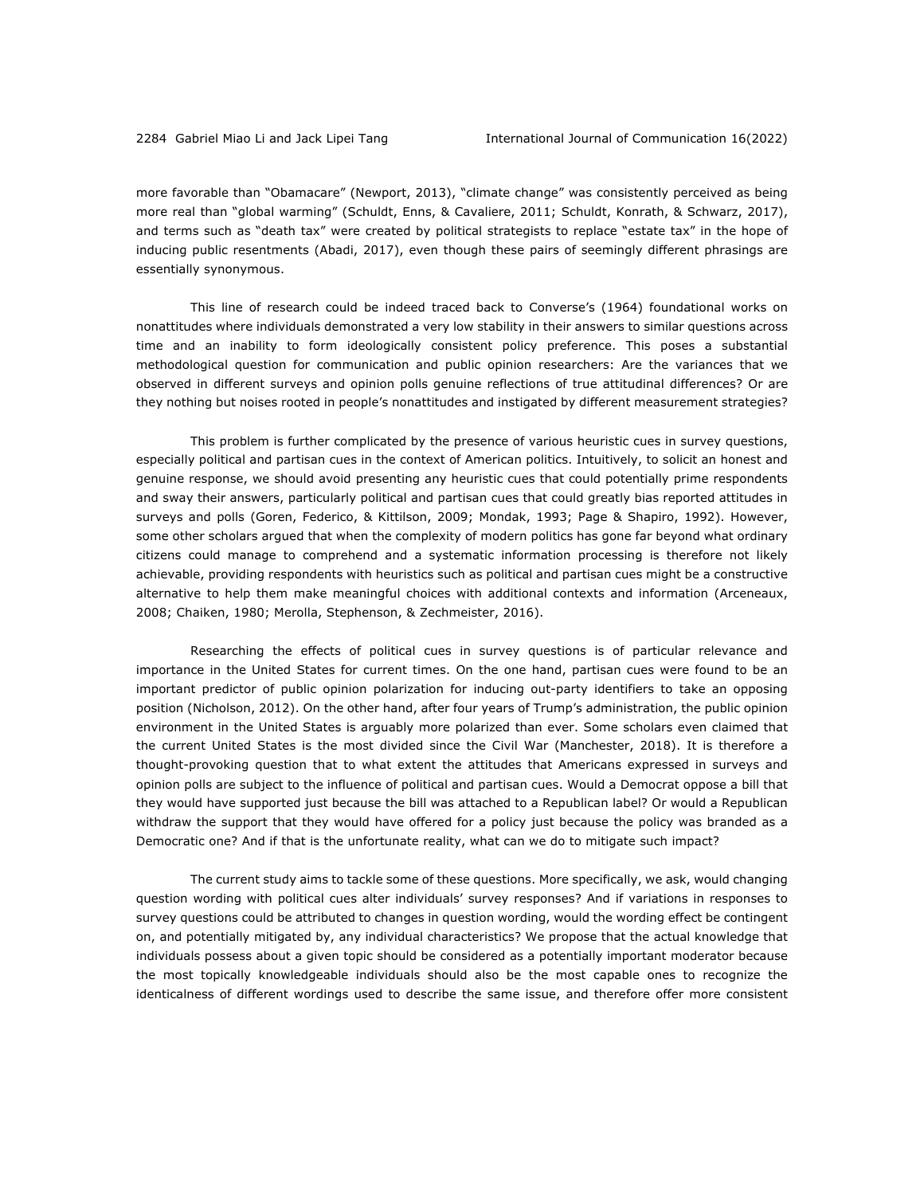more favorable than "Obamacare" (Newport, 2013), "climate change" was consistently perceived as being more real than "global warming" (Schuldt, Enns, & Cavaliere, 2011; Schuldt, Konrath, & Schwarz, 2017), and terms such as "death tax" were created by political strategists to replace "estate tax" in the hope of inducing public resentments (Abadi, 2017), even though these pairs of seemingly different phrasings are essentially synonymous.

This line of research could be indeed traced back to Converse's (1964) foundational works on nonattitudes where individuals demonstrated a very low stability in their answers to similar questions across time and an inability to form ideologically consistent policy preference. This poses a substantial methodological question for communication and public opinion researchers: Are the variances that we observed in different surveys and opinion polls genuine reflections of true attitudinal differences? Or are they nothing but noises rooted in people's nonattitudes and instigated by different measurement strategies?

This problem is further complicated by the presence of various heuristic cues in survey questions, especially political and partisan cues in the context of American politics. Intuitively, to solicit an honest and genuine response, we should avoid presenting any heuristic cues that could potentially prime respondents and sway their answers, particularly political and partisan cues that could greatly bias reported attitudes in surveys and polls (Goren, Federico, & Kittilson, 2009; Mondak, 1993; Page & Shapiro, 1992). However, some other scholars argued that when the complexity of modern politics has gone far beyond what ordinary citizens could manage to comprehend and a systematic information processing is therefore not likely achievable, providing respondents with heuristics such as political and partisan cues might be a constructive alternative to help them make meaningful choices with additional contexts and information (Arceneaux, 2008; Chaiken, 1980; Merolla, Stephenson, & Zechmeister, 2016).

Researching the effects of political cues in survey questions is of particular relevance and importance in the United States for current times. On the one hand, partisan cues were found to be an important predictor of public opinion polarization for inducing out-party identifiers to take an opposing position (Nicholson, 2012). On the other hand, after four years of Trump's administration, the public opinion environment in the United States is arguably more polarized than ever. Some scholars even claimed that the current United States is the most divided since the Civil War (Manchester, 2018). It is therefore a thought-provoking question that to what extent the attitudes that Americans expressed in surveys and opinion polls are subject to the influence of political and partisan cues. Would a Democrat oppose a bill that they would have supported just because the bill was attached to a Republican label? Or would a Republican withdraw the support that they would have offered for a policy just because the policy was branded as a Democratic one? And if that is the unfortunate reality, what can we do to mitigate such impact?

The current study aims to tackle some of these questions. More specifically, we ask, would changing question wording with political cues alter individuals' survey responses? And if variations in responses to survey questions could be attributed to changes in question wording, would the wording effect be contingent on, and potentially mitigated by, any individual characteristics? We propose that the actual knowledge that individuals possess about a given topic should be considered as a potentially important moderator because the most topically knowledgeable individuals should also be the most capable ones to recognize the identicalness of different wordings used to describe the same issue, and therefore offer more consistent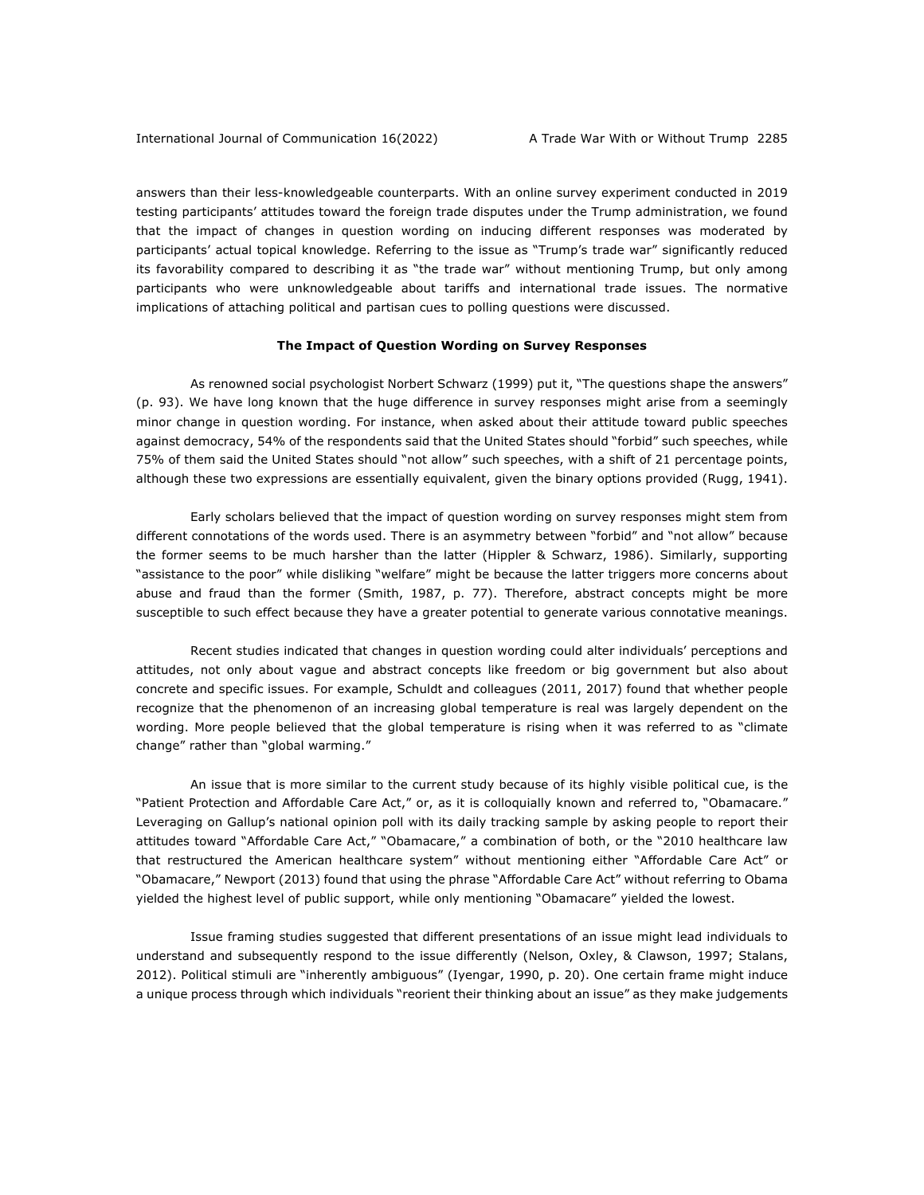answers than their less-knowledgeable counterparts. With an online survey experiment conducted in 2019 testing participants' attitudes toward the foreign trade disputes under the Trump administration, we found that the impact of changes in question wording on inducing different responses was moderated by participants' actual topical knowledge. Referring to the issue as "Trump's trade war" significantly reduced its favorability compared to describing it as "the trade war" without mentioning Trump, but only among participants who were unknowledgeable about tariffs and international trade issues. The normative implications of attaching political and partisan cues to polling questions were discussed.

#### **The Impact of Question Wording on Survey Responses**

As renowned social psychologist Norbert Schwarz (1999) put it, "The questions shape the answers" (p. 93). We have long known that the huge difference in survey responses might arise from a seemingly minor change in question wording. For instance, when asked about their attitude toward public speeches against democracy, 54% of the respondents said that the United States should "forbid" such speeches, while 75% of them said the United States should "not allow" such speeches, with a shift of 21 percentage points, although these two expressions are essentially equivalent, given the binary options provided (Rugg, 1941).

Early scholars believed that the impact of question wording on survey responses might stem from different connotations of the words used. There is an asymmetry between "forbid" and "not allow" because the former seems to be much harsher than the latter (Hippler & Schwarz, 1986). Similarly, supporting "assistance to the poor" while disliking "welfare" might be because the latter triggers more concerns about abuse and fraud than the former (Smith, 1987, p. 77). Therefore, abstract concepts might be more susceptible to such effect because they have a greater potential to generate various connotative meanings.

Recent studies indicated that changes in question wording could alter individuals' perceptions and attitudes, not only about vague and abstract concepts like freedom or big government but also about concrete and specific issues. For example, Schuldt and colleagues (2011, 2017) found that whether people recognize that the phenomenon of an increasing global temperature is real was largely dependent on the wording. More people believed that the global temperature is rising when it was referred to as "climate change" rather than "global warming."

An issue that is more similar to the current study because of its highly visible political cue, is the "Patient Protection and Affordable Care Act," or, as it is colloquially known and referred to, "Obamacare." Leveraging on Gallup's national opinion poll with its daily tracking sample by asking people to report their attitudes toward "Affordable Care Act," "Obamacare," a combination of both, or the "2010 healthcare law that restructured the American healthcare system" without mentioning either "Affordable Care Act" or "Obamacare," Newport (2013) found that using the phrase "Affordable Care Act" without referring to Obama yielded the highest level of public support, while only mentioning "Obamacare" yielded the lowest.

Issue framing studies suggested that different presentations of an issue might lead individuals to understand and subsequently respond to the issue differently (Nelson, Oxley, & Clawson, 1997; Stalans, 2012). Political stimuli are "inherently ambiguous" (Iyengar, 1990, p. 20). One certain frame might induce a unique process through which individuals "reorient their thinking about an issue" as they make judgements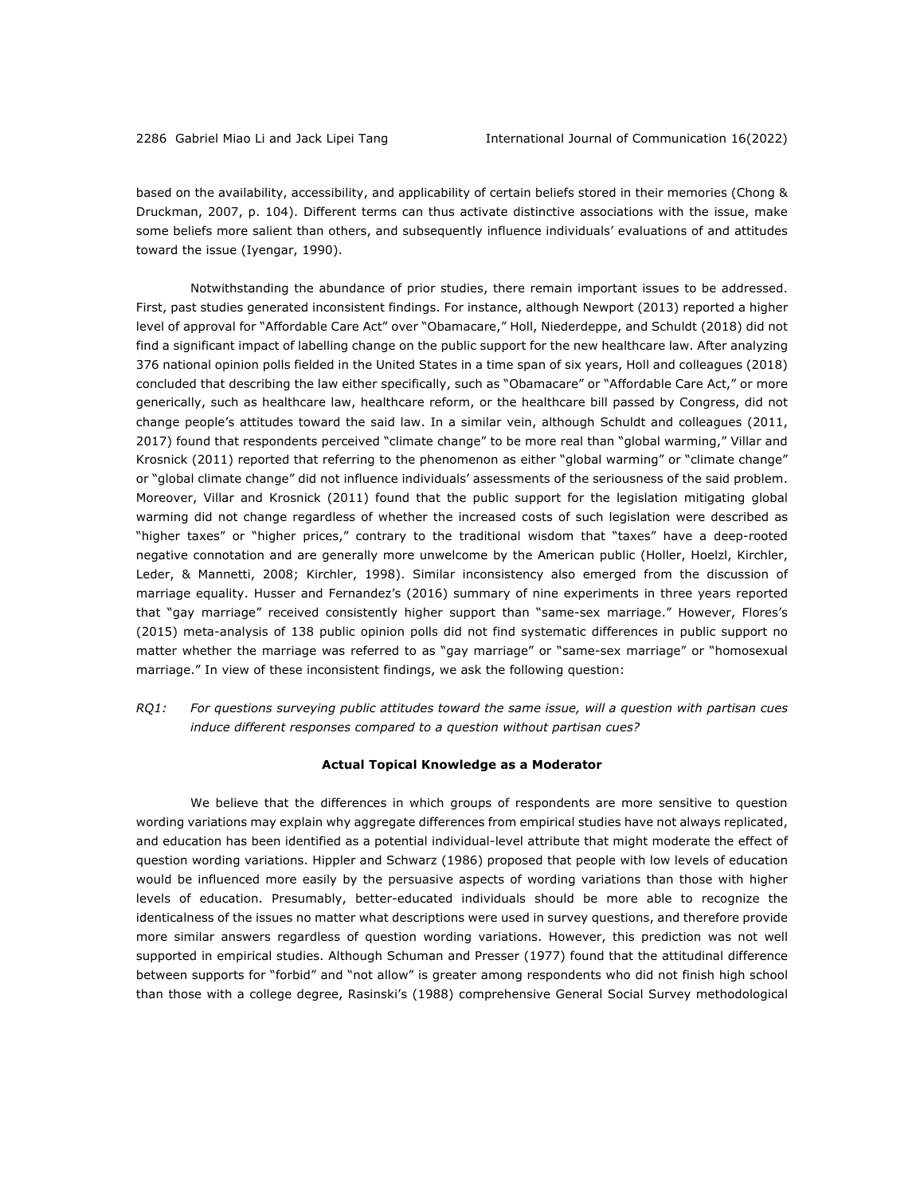based on the availability, accessibility, and applicability of certain beliefs stored in their memories (Chong & Druckman, 2007, p. 104). Different terms can thus activate distinctive associations with the issue, make some beliefs more salient than others, and subsequently influence individuals' evaluations of and attitudes toward the issue (Iyengar, 1990).

Notwithstanding the abundance of prior studies, there remain important issues to be addressed. First, past studies generated inconsistent findings. For instance, although Newport (2013) reported a higher level of approval for "Affordable Care Act" over "Obamacare," Holl, Niederdeppe, and Schuldt (2018) did not find a significant impact of labelling change on the public support for the new healthcare law. After analyzing 376 national opinion polls fielded in the United States in a time span of six years, Holl and colleagues (2018) concluded that describing the law either specifically, such as "Obamacare" or "Affordable Care Act," or more generically, such as healthcare law, healthcare reform, or the healthcare bill passed by Congress, did not change people's attitudes toward the said law. In a similar vein, although Schuldt and colleagues (2011, 2017) found that respondents perceived "climate change" to be more real than "global warming," Villar and Krosnick (2011) reported that referring to the phenomenon as either "global warming" or "climate change" or "global climate change" did not influence individuals' assessments of the seriousness of the said problem. Moreover, Villar and Krosnick (2011) found that the public support for the legislation mitigating global warming did not change regardless of whether the increased costs of such legislation were described as "higher taxes" or "higher prices," contrary to the traditional wisdom that "taxes" have a deep-rooted negative connotation and are generally more unwelcome by the American public (Holler, Hoelzl, Kirchler, Leder, & Mannetti, 2008; Kirchler, 1998). Similar inconsistency also emerged from the discussion of marriage equality. Husser and Fernandez's (2016) summary of nine experiments in three years reported that "gay marriage" received consistently higher support than "same-sex marriage." However, Flores's (2015) meta-analysis of 138 public opinion polls did not find systematic differences in public support no matter whether the marriage was referred to as "gay marriage" or "same-sex marriage" or "homosexual marriage." In view of these inconsistent findings, we ask the following question:

*RQ1: For questions surveying public attitudes toward the same issue, will a question with partisan cues induce different responses compared to a question without partisan cues?*

#### **Actual Topical Knowledge as a Moderator**

We believe that the differences in which groups of respondents are more sensitive to question wording variations may explain why aggregate differences from empirical studies have not always replicated, and education has been identified as a potential individual-level attribute that might moderate the effect of question wording variations. Hippler and Schwarz (1986) proposed that people with low levels of education would be influenced more easily by the persuasive aspects of wording variations than those with higher levels of education. Presumably, better-educated individuals should be more able to recognize the identicalness of the issues no matter what descriptions were used in survey questions, and therefore provide more similar answers regardless of question wording variations. However, this prediction was not well supported in empirical studies. Although Schuman and Presser (1977) found that the attitudinal difference between supports for "forbid" and "not allow" is greater among respondents who did not finish high school than those with a college degree, Rasinski's (1988) comprehensive General Social Survey methodological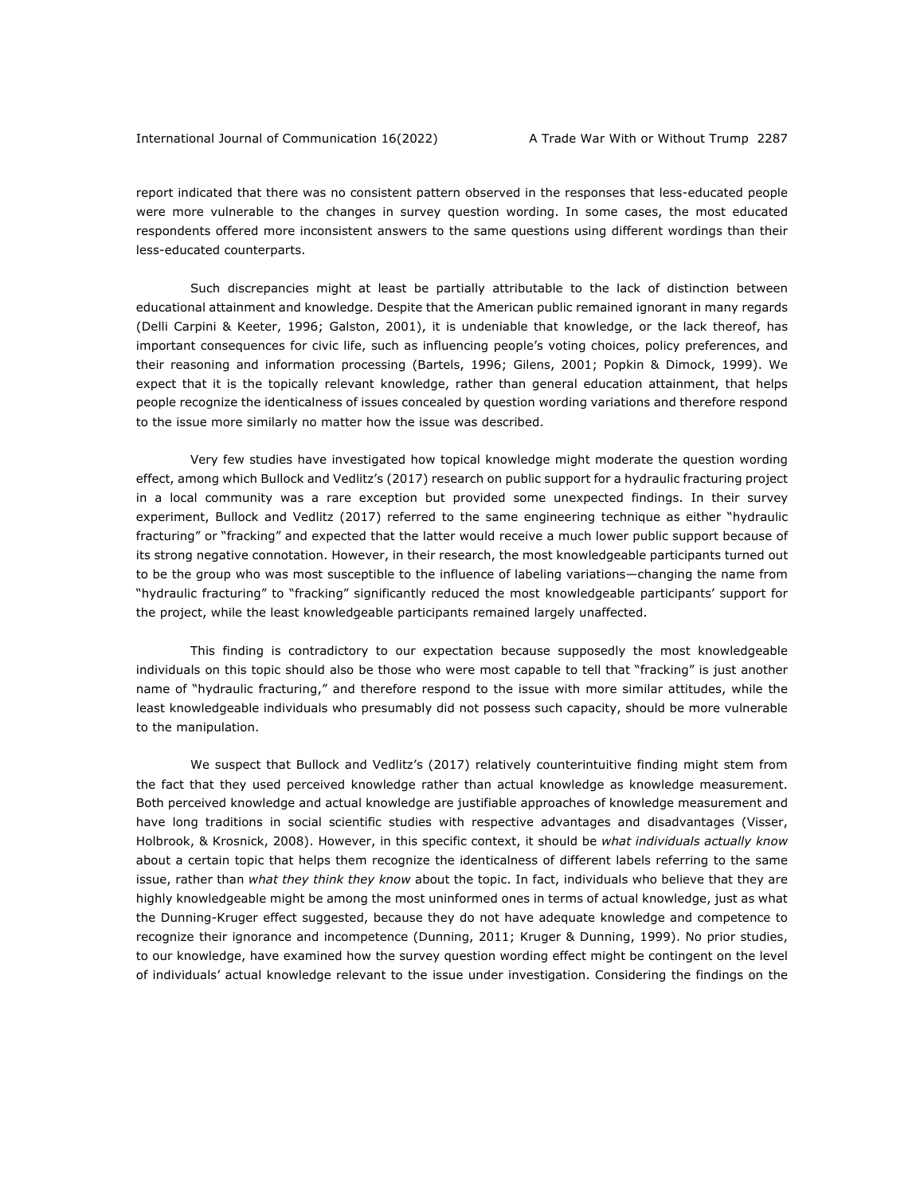report indicated that there was no consistent pattern observed in the responses that less-educated people were more vulnerable to the changes in survey question wording. In some cases, the most educated respondents offered more inconsistent answers to the same questions using different wordings than their less-educated counterparts.

Such discrepancies might at least be partially attributable to the lack of distinction between educational attainment and knowledge. Despite that the American public remained ignorant in many regards (Delli Carpini & Keeter, 1996; Galston, 2001), it is undeniable that knowledge, or the lack thereof, has important consequences for civic life, such as influencing people's voting choices, policy preferences, and their reasoning and information processing (Bartels, 1996; Gilens, 2001; Popkin & Dimock, 1999). We expect that it is the topically relevant knowledge, rather than general education attainment, that helps people recognize the identicalness of issues concealed by question wording variations and therefore respond to the issue more similarly no matter how the issue was described.

Very few studies have investigated how topical knowledge might moderate the question wording effect, among which Bullock and Vedlitz's (2017) research on public support for a hydraulic fracturing project in a local community was a rare exception but provided some unexpected findings. In their survey experiment, Bullock and Vedlitz (2017) referred to the same engineering technique as either "hydraulic fracturing" or "fracking" and expected that the latter would receive a much lower public support because of its strong negative connotation. However, in their research, the most knowledgeable participants turned out to be the group who was most susceptible to the influence of labeling variations—changing the name from "hydraulic fracturing" to "fracking" significantly reduced the most knowledgeable participants' support for the project, while the least knowledgeable participants remained largely unaffected.

This finding is contradictory to our expectation because supposedly the most knowledgeable individuals on this topic should also be those who were most capable to tell that "fracking" is just another name of "hydraulic fracturing," and therefore respond to the issue with more similar attitudes, while the least knowledgeable individuals who presumably did not possess such capacity, should be more vulnerable to the manipulation.

We suspect that Bullock and Vedlitz's (2017) relatively counterintuitive finding might stem from the fact that they used perceived knowledge rather than actual knowledge as knowledge measurement. Both perceived knowledge and actual knowledge are justifiable approaches of knowledge measurement and have long traditions in social scientific studies with respective advantages and disadvantages (Visser, Holbrook, & Krosnick, 2008). However, in this specific context, it should be *what individuals actually know* about a certain topic that helps them recognize the identicalness of different labels referring to the same issue, rather than *what they think they know* about the topic. In fact, individuals who believe that they are highly knowledgeable might be among the most uninformed ones in terms of actual knowledge, just as what the Dunning-Kruger effect suggested, because they do not have adequate knowledge and competence to recognize their ignorance and incompetence (Dunning, 2011; Kruger & Dunning, 1999). No prior studies, to our knowledge, have examined how the survey question wording effect might be contingent on the level of individuals' actual knowledge relevant to the issue under investigation. Considering the findings on the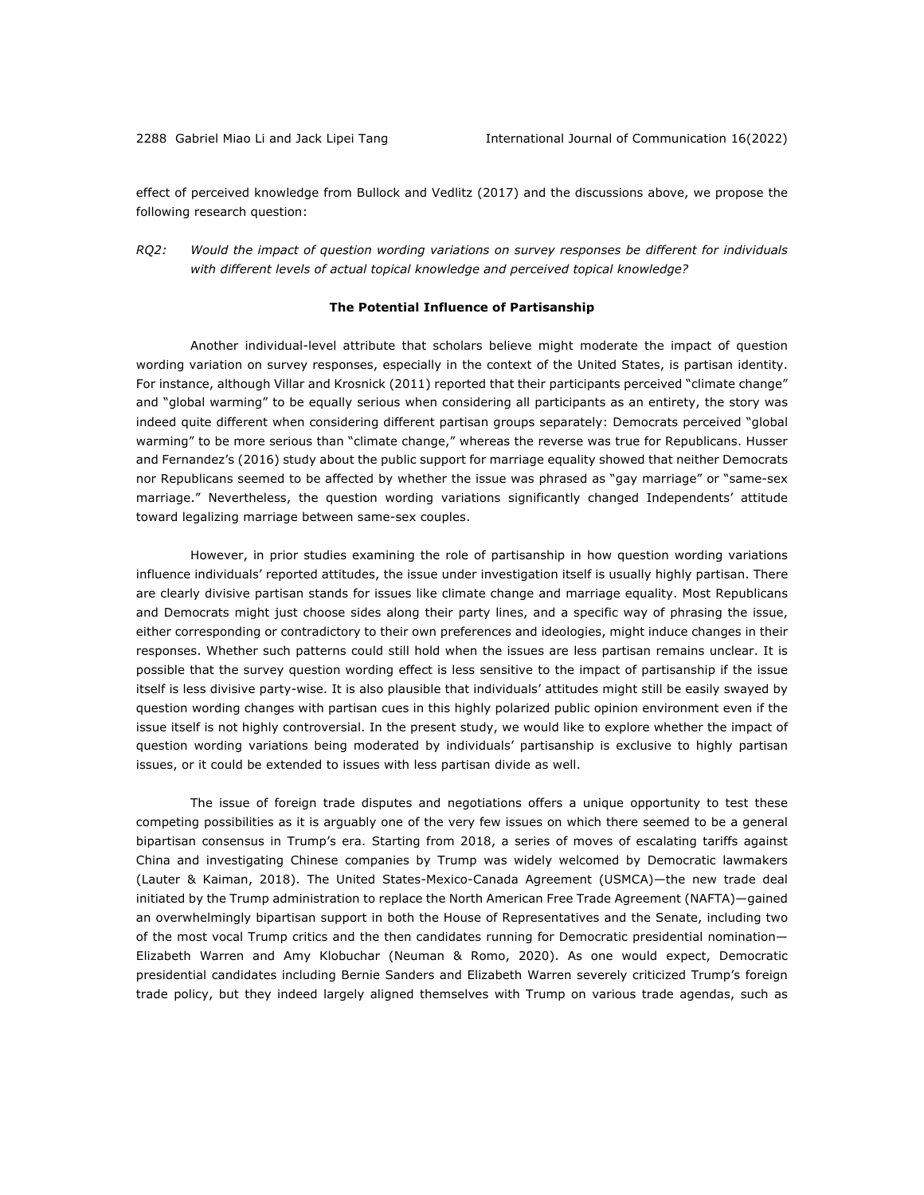effect of perceived knowledge from Bullock and Vedlitz (2017) and the discussions above, we propose the following research question:

*RQ2: Would the impact of question wording variations on survey responses be different for individuals with different levels of actual topical knowledge and perceived topical knowledge?*

### **The Potential Influence of Partisanship**

Another individual-level attribute that scholars believe might moderate the impact of question wording variation on survey responses, especially in the context of the United States, is partisan identity. For instance, although Villar and Krosnick (2011) reported that their participants perceived "climate change" and "global warming" to be equally serious when considering all participants as an entirety, the story was indeed quite different when considering different partisan groups separately: Democrats perceived "global warming" to be more serious than "climate change," whereas the reverse was true for Republicans. Husser and Fernandez's (2016) study about the public support for marriage equality showed that neither Democrats nor Republicans seemed to be affected by whether the issue was phrased as "gay marriage" or "same-sex marriage." Nevertheless, the question wording variations significantly changed Independents' attitude toward legalizing marriage between same-sex couples.

However, in prior studies examining the role of partisanship in how question wording variations influence individuals' reported attitudes, the issue under investigation itself is usually highly partisan. There are clearly divisive partisan stands for issues like climate change and marriage equality. Most Republicans and Democrats might just choose sides along their party lines, and a specific way of phrasing the issue, either corresponding or contradictory to their own preferences and ideologies, might induce changes in their responses. Whether such patterns could still hold when the issues are less partisan remains unclear. It is possible that the survey question wording effect is less sensitive to the impact of partisanship if the issue itself is less divisive party-wise. It is also plausible that individuals' attitudes might still be easily swayed by question wording changes with partisan cues in this highly polarized public opinion environment even if the issue itself is not highly controversial. In the present study, we would like to explore whether the impact of question wording variations being moderated by individuals' partisanship is exclusive to highly partisan issues, or it could be extended to issues with less partisan divide as well.

The issue of foreign trade disputes and negotiations offers a unique opportunity to test these competing possibilities as it is arguably one of the very few issues on which there seemed to be a general bipartisan consensus in Trump's era. Starting from 2018, a series of moves of escalating tariffs against China and investigating Chinese companies by Trump was widely welcomed by Democratic lawmakers (Lauter & Kaiman, 2018). The United States-Mexico-Canada Agreement (USMCA)—the new trade deal initiated by the Trump administration to replace the North American Free Trade Agreement (NAFTA)—gained an overwhelmingly bipartisan support in both the House of Representatives and the Senate, including two of the most vocal Trump critics and the then candidates running for Democratic presidential nomination— Elizabeth Warren and Amy Klobuchar (Neuman & Romo, 2020). As one would expect, Democratic presidential candidates including Bernie Sanders and Elizabeth Warren severely criticized Trump's foreign trade policy, but they indeed largely aligned themselves with Trump on various trade agendas, such as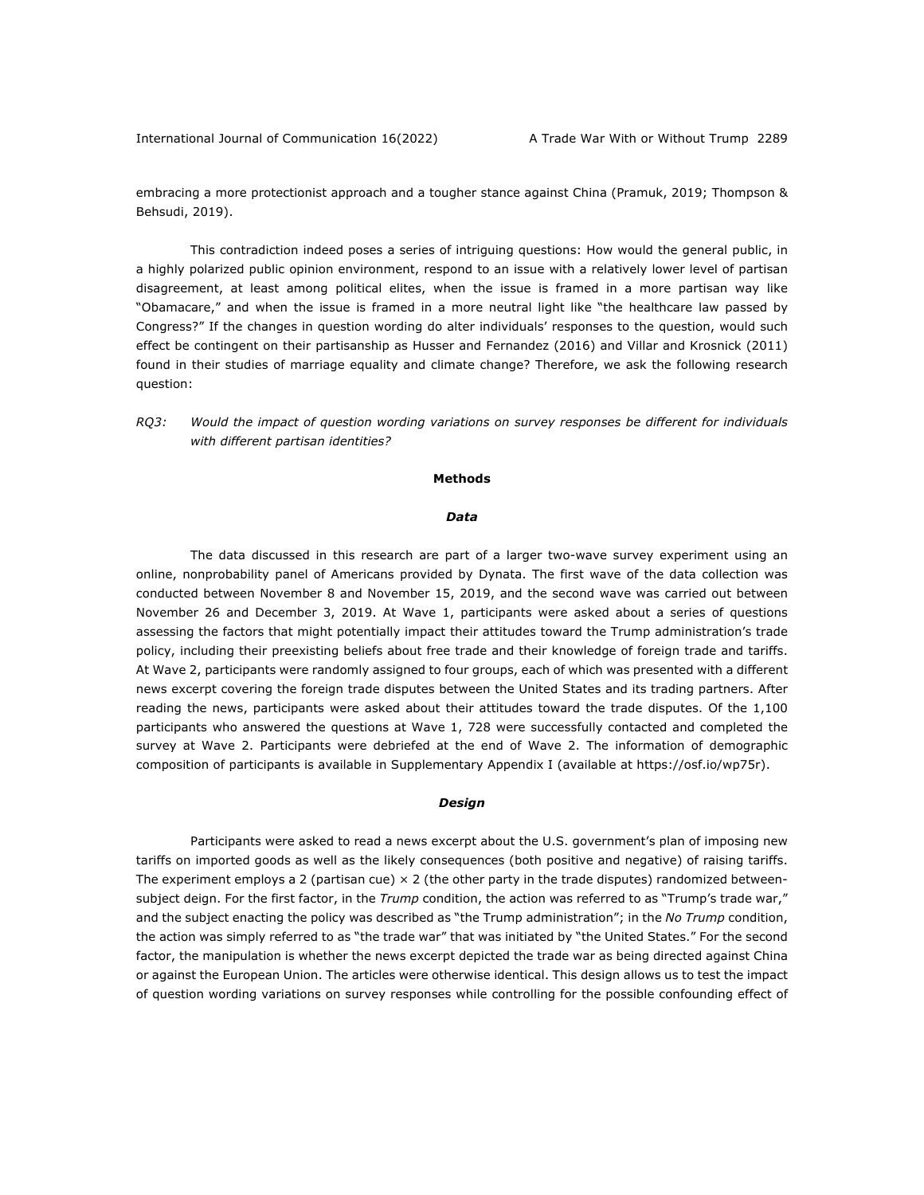International Journal of Communication 16(2022) A Trade War With or Without Trump 2289

embracing a more protectionist approach and a tougher stance against China (Pramuk, 2019; Thompson & Behsudi, 2019).

This contradiction indeed poses a series of intriguing questions: How would the general public, in a highly polarized public opinion environment, respond to an issue with a relatively lower level of partisan disagreement, at least among political elites, when the issue is framed in a more partisan way like "Obamacare," and when the issue is framed in a more neutral light like "the healthcare law passed by Congress?" If the changes in question wording do alter individuals' responses to the question, would such effect be contingent on their partisanship as Husser and Fernandez (2016) and Villar and Krosnick (2011) found in their studies of marriage equality and climate change? Therefore, we ask the following research question:

*RQ3: Would the impact of question wording variations on survey responses be different for individuals with different partisan identities?*

#### **Methods**

#### *Data*

The data discussed in this research are part of a larger two-wave survey experiment using an online, nonprobability panel of Americans provided by Dynata. The first wave of the data collection was conducted between November 8 and November 15, 2019, and the second wave was carried out between November 26 and December 3, 2019. At Wave 1, participants were asked about a series of questions assessing the factors that might potentially impact their attitudes toward the Trump administration's trade policy, including their preexisting beliefs about free trade and their knowledge of foreign trade and tariffs. At Wave 2, participants were randomly assigned to four groups, each of which was presented with a different news excerpt covering the foreign trade disputes between the United States and its trading partners. After reading the news, participants were asked about their attitudes toward the trade disputes. Of the 1,100 participants who answered the questions at Wave 1, 728 were successfully contacted and completed the survey at Wave 2. Participants were debriefed at the end of Wave 2. The information of demographic composition of participants is available in Supplementary Appendix I (available at https://osf.io/wp75r).

#### *Design*

Participants were asked to read a news excerpt about the U.S. government's plan of imposing new tariffs on imported goods as well as the likely consequences (both positive and negative) of raising tariffs. The experiment employs a 2 (partisan cue)  $\times$  2 (the other party in the trade disputes) randomized betweensubject deign. For the first factor, in the *Trump* condition, the action was referred to as "Trump's trade war," and the subject enacting the policy was described as "the Trump administration"; in the *No Trump* condition, the action was simply referred to as "the trade war" that was initiated by "the United States." For the second factor, the manipulation is whether the news excerpt depicted the trade war as being directed against China or against the European Union. The articles were otherwise identical. This design allows us to test the impact of question wording variations on survey responses while controlling for the possible confounding effect of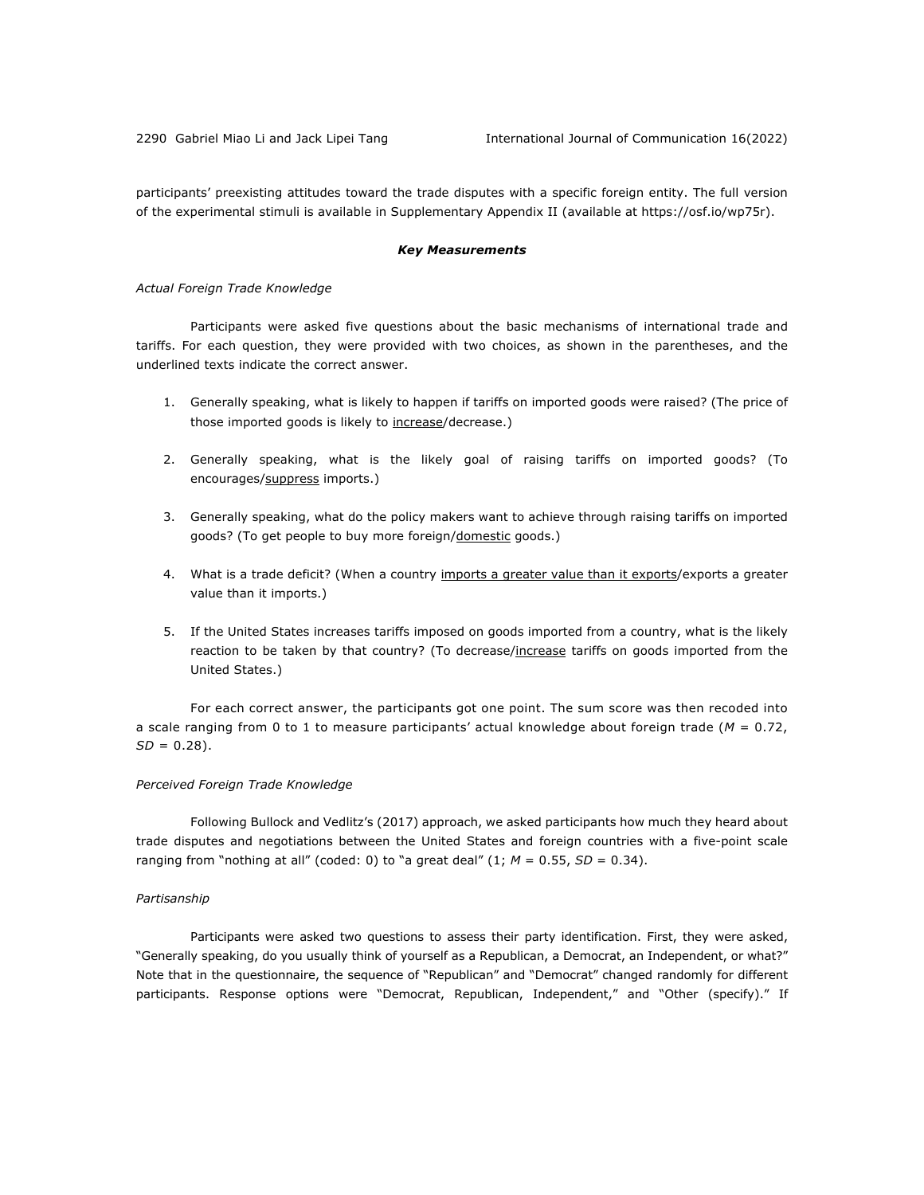participants' preexisting attitudes toward the trade disputes with a specific foreign entity. The full version of the experimental stimuli is available in Supplementary Appendix II (available at https://osf.io/wp75r).

#### *Key Measurements*

#### *Actual Foreign Trade Knowledge*

Participants were asked five questions about the basic mechanisms of international trade and tariffs. For each question, they were provided with two choices, as shown in the parentheses, and the underlined texts indicate the correct answer.

- 1. Generally speaking, what is likely to happen if tariffs on imported goods were raised? (The price of those imported goods is likely to increase/decrease.)
- 2. Generally speaking, what is the likely goal of raising tariffs on imported goods? (To encourages/suppress imports.)
- 3. Generally speaking, what do the policy makers want to achieve through raising tariffs on imported goods? (To get people to buy more foreign/domestic goods.)
- 4. What is a trade deficit? (When a country imports a greater value than it exports/exports a greater value than it imports.)
- 5. If the United States increases tariffs imposed on goods imported from a country, what is the likely reaction to be taken by that country? (To decrease/increase tariffs on goods imported from the United States.)

For each correct answer, the participants got one point. The sum score was then recoded into a scale ranging from 0 to 1 to measure participants' actual knowledge about foreign trade (*M* = 0.72,  $SD = 0.28$ ).

### *Perceived Foreign Trade Knowledge*

Following Bullock and Vedlitz's (2017) approach, we asked participants how much they heard about trade disputes and negotiations between the United States and foreign countries with a five-point scale ranging from "nothing at all" (coded: 0) to "a great deal"  $(1; M = 0.55, SD = 0.34)$ .

#### *Partisanship*

Participants were asked two questions to assess their party identification. First, they were asked, "Generally speaking, do you usually think of yourself as a Republican, a Democrat, an Independent, or what?" Note that in the questionnaire, the sequence of "Republican" and "Democrat" changed randomly for different participants. Response options were "Democrat, Republican, Independent," and "Other (specify)." If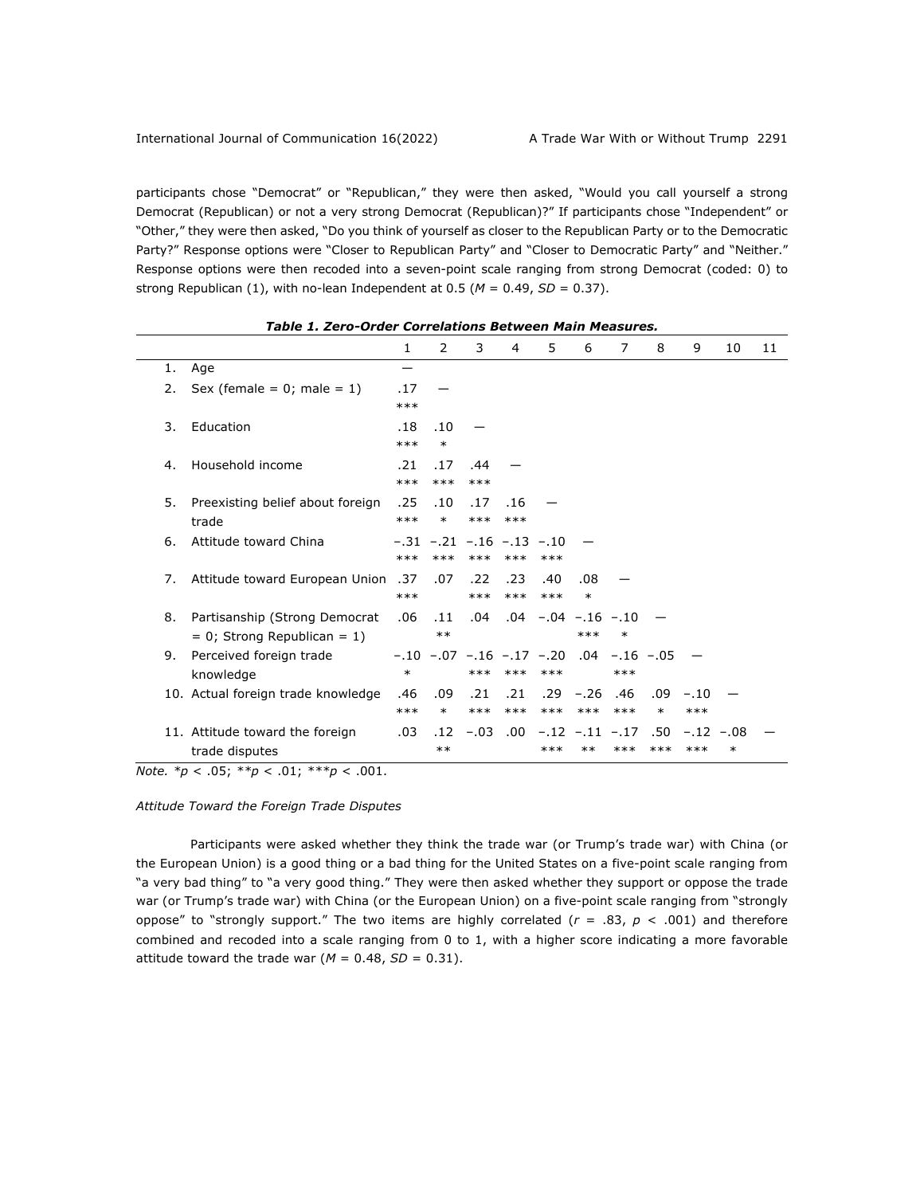participants chose "Democrat" or "Republican," they were then asked, "Would you call yourself a strong Democrat (Republican) or not a very strong Democrat (Republican)?" If participants chose "Independent" or "Other," they were then asked, "Do you think of yourself as closer to the Republican Party or to the Democratic Party?" Response options were "Closer to Republican Party" and "Closer to Democratic Party" and "Neither." Response options were then recoded into a seven-point scale ranging from strong Democrat (coded: 0) to strong Republican (1), with no-lean Independent at 0.5 ( $M = 0.49$ ,  $SD = 0.37$ ).

|    |                                                                    | 1            | 2                                       | 3            | 4            | 5                                                               | 6                             | 7            | 8             | 9               | 10               | 11 |
|----|--------------------------------------------------------------------|--------------|-----------------------------------------|--------------|--------------|-----------------------------------------------------------------|-------------------------------|--------------|---------------|-----------------|------------------|----|
| 1. | Age                                                                | —            |                                         |              |              |                                                                 |                               |              |               |                 |                  |    |
| 2. | Sex (female = $0$ ; male = $1$ )                                   | .17<br>$***$ |                                         |              |              |                                                                 |                               |              |               |                 |                  |    |
| 3. | Education                                                          | .18<br>$***$ | .10<br>$\ast$                           |              |              |                                                                 |                               |              |               |                 |                  |    |
| 4. | Household income                                                   | .21<br>$***$ | .17<br>$***$                            | .44<br>$***$ |              |                                                                 |                               |              |               |                 |                  |    |
| 5. | Preexisting belief about foreign<br>trade                          | .25<br>$***$ | .10<br>$\ast$                           | .17<br>$***$ | .16<br>$***$ |                                                                 |                               |              |               |                 |                  |    |
| 6. | Attitude toward China                                              | $***$        | $-.31 - .21 - .16 - .13 - .10$<br>$***$ | $***$        | $***$        | $***$                                                           |                               |              |               |                 |                  |    |
| 7. | Attitude toward European Union                                     | .37<br>$***$ | .07                                     | .22<br>$***$ | .23<br>$***$ | .40<br>$***$                                                    | .08<br>$\ast$                 |              |               |                 |                  |    |
| 8. | Partisanship (Strong Democrat<br>$= 0$ ; Strong Republican $= 1$ ) | .06          | .11<br>$***$                            | .04          |              | $.04 - .04 - .16 - .10$                                         | $***$                         | $\ast$       |               |                 |                  |    |
| 9. | Perceived foreign trade<br>knowledge                               | $\ast$       |                                         | $***$        | $***$        | $-.10$ $-.07$ $-.16$ $-.17$ $-.20$ $.04$ $-.16$ $-.05$<br>$***$ |                               | $***$        |               |                 |                  |    |
|    | 10. Actual foreign trade knowledge                                 | .46<br>$***$ | .09<br>$\ast$                           | .21<br>$***$ | .21<br>$***$ | .29<br>$***$                                                    | $-.26$<br>$***$               | .46<br>$***$ | .09<br>$\ast$ | $-.10$<br>$***$ |                  |    |
|    | 11. Attitude toward the foreign<br>trade disputes                  | .03          | .12<br>$***$                            | $-.03$       | .00.         | ***                                                             | $-.12$ $-.11$ $-.17$<br>$***$ | $***$        | .50<br>$***$  | $-.12$<br>$***$ | $-.08$<br>$\ast$ |    |

*Note. \*p* < .05; *\*\*p* < .01; *\*\*\*p* < .001.

### *Attitude Toward the Foreign Trade Disputes*

Participants were asked whether they think the trade war (or Trump's trade war) with China (or the European Union) is a good thing or a bad thing for the United States on a five-point scale ranging from "a very bad thing" to "a very good thing." They were then asked whether they support or oppose the trade war (or Trump's trade war) with China (or the European Union) on a five-point scale ranging from "strongly oppose" to "strongly support." The two items are highly correlated  $(r = .83, p < .001)$  and therefore combined and recoded into a scale ranging from 0 to 1, with a higher score indicating a more favorable attitude toward the trade war ( $M = 0.48$ ,  $SD = 0.31$ ).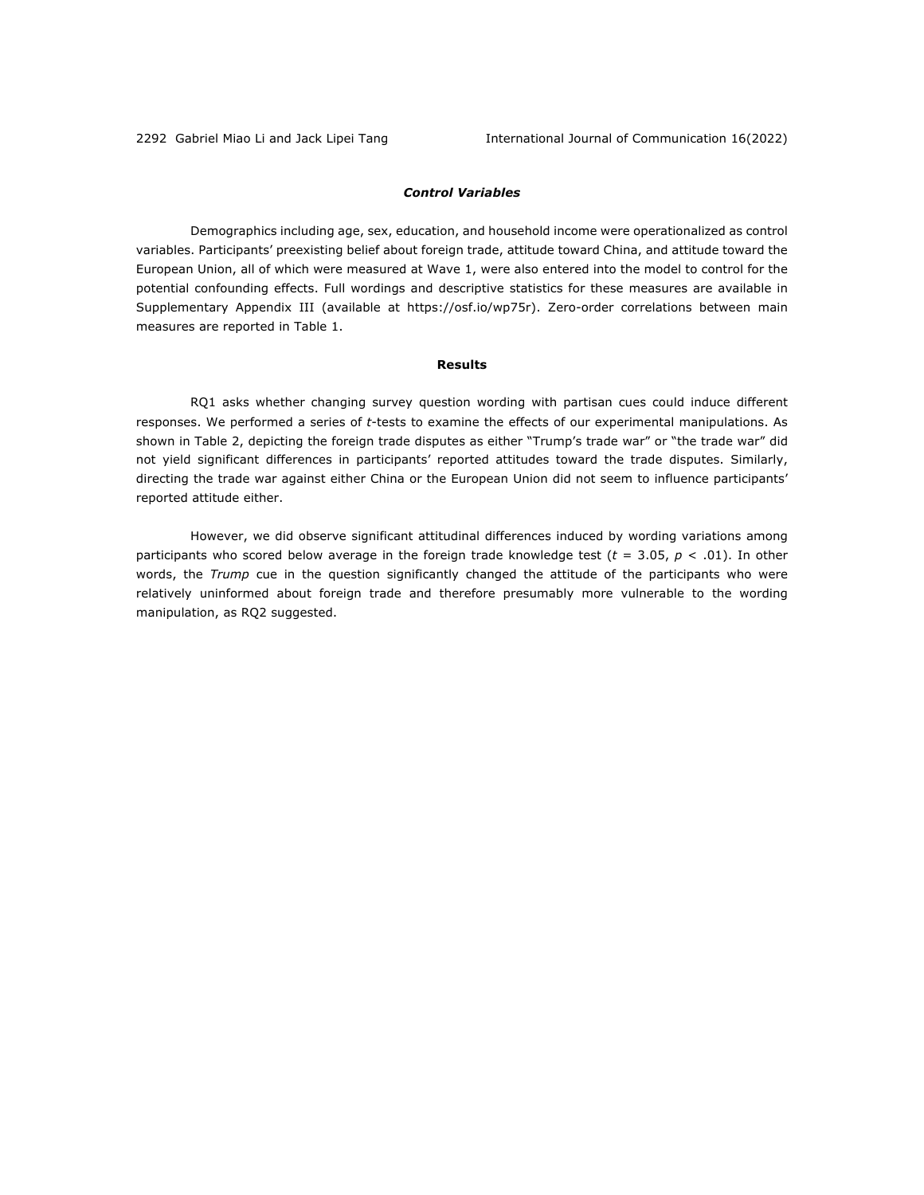# *Control Variables*

Demographics including age, sex, education, and household income were operationalized as control variables. Participants' preexisting belief about foreign trade, attitude toward China, and attitude toward the European Union, all of which were measured at Wave 1, were also entered into the model to control for the potential confounding effects. Full wordings and descriptive statistics for these measures are available in Supplementary Appendix III (available at https://osf.io/wp75r). Zero-order correlations between main measures are reported in Table 1.

# **Results**

RQ1 asks whether changing survey question wording with partisan cues could induce different responses. We performed a series of *t*-tests to examine the effects of our experimental manipulations. As shown in Table 2, depicting the foreign trade disputes as either "Trump's trade war" or "the trade war" did not yield significant differences in participants' reported attitudes toward the trade disputes. Similarly, directing the trade war against either China or the European Union did not seem to influence participants' reported attitude either.

However, we did observe significant attitudinal differences induced by wording variations among participants who scored below average in the foreign trade knowledge test (*t* = 3.05, *p* < .01). In other words, the *Trump* cue in the question significantly changed the attitude of the participants who were relatively uninformed about foreign trade and therefore presumably more vulnerable to the wording manipulation, as RQ2 suggested.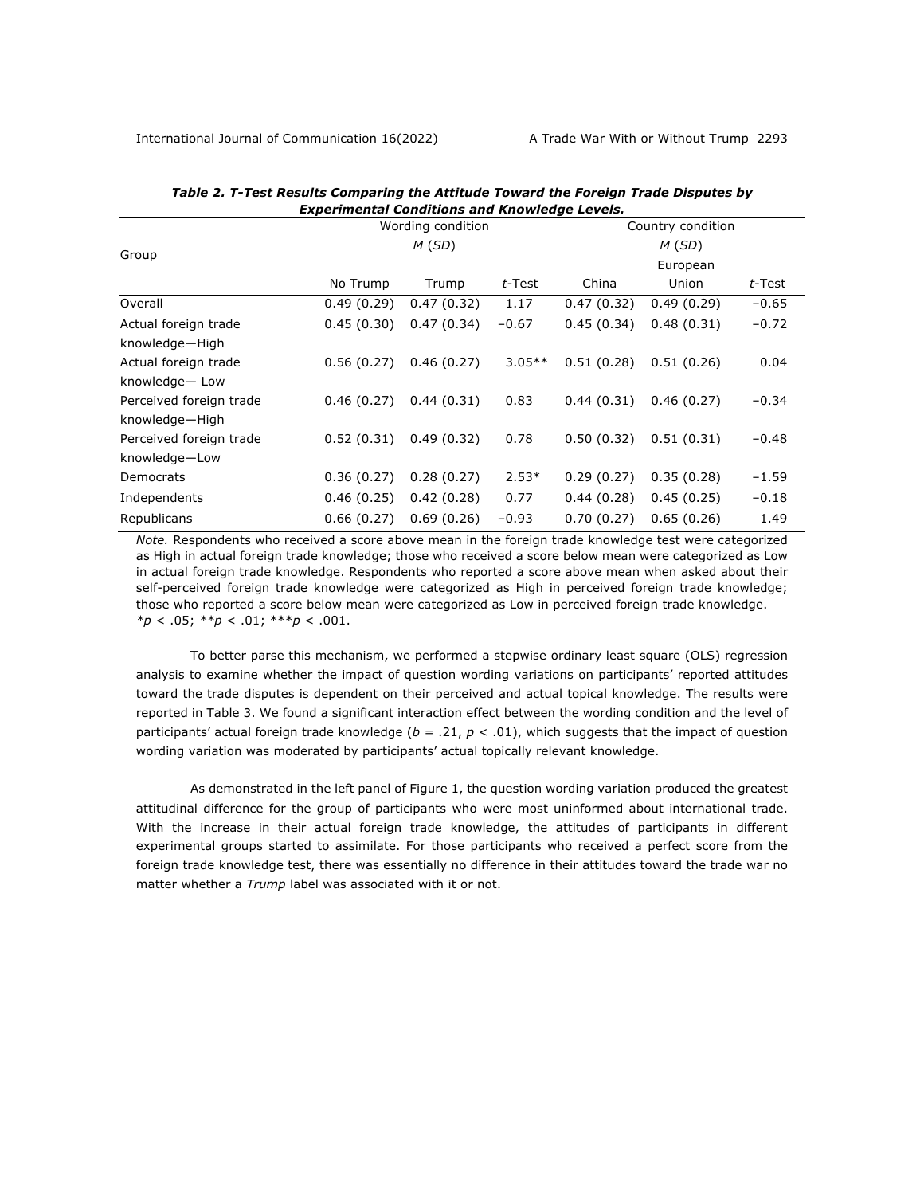|                         |            | Wording condition |           |            | Country condition |           |
|-------------------------|------------|-------------------|-----------|------------|-------------------|-----------|
| Group                   |            | M(SD)             |           |            | M(SD)             |           |
|                         |            |                   |           |            | European          |           |
|                         | No Trump   | Trump             | $t$ -Test | China      | Union             | $t$ -Test |
| Overall                 | 0.49(0.29) | 0.47(0.32)        | 1.17      | 0.47(0.32) | 0.49(0.29)        | $-0.65$   |
| Actual foreign trade    | 0.45(0.30) | 0.47(0.34)        | $-0.67$   | 0.45(0.34) | 0.48(0.31)        | $-0.72$   |
| knowledge-High          |            |                   |           |            |                   |           |
| Actual foreign trade    | 0.56(0.27) | 0.46(0.27)        | $3.05**$  | 0.51(0.28) | 0.51(0.26)        | 0.04      |
| knowledge-Low           |            |                   |           |            |                   |           |
| Perceived foreign trade | 0.46(0.27) | 0.44(0.31)        | 0.83      | 0.44(0.31) | 0.46(0.27)        | $-0.34$   |
| knowledge-High          |            |                   |           |            |                   |           |
| Perceived foreign trade | 0.52(0.31) | 0.49(0.32)        | 0.78      | 0.50(0.32) | 0.51(0.31)        | $-0.48$   |
| knowledge-Low           |            |                   |           |            |                   |           |
| Democrats               | 0.36(0.27) | 0.28(0.27)        | $2.53*$   | 0.29(0.27) | 0.35(0.28)        | $-1.59$   |
| Independents            | 0.46(0.25) | 0.42(0.28)        | 0.77      | 0.44(0.28) | 0.45(0.25)        | $-0.18$   |
| Republicans             | 0.66(0.27) | 0.69(0.26)        | $-0.93$   | 0.70(0.27) | 0.65(0.26)        | 1.49      |

### *Table 2. T-Test Results Comparing the Attitude Toward the Foreign Trade Disputes by Experimental Conditions and Knowledge Levels.*

*Note.* Respondents who received a score above mean in the foreign trade knowledge test were categorized as High in actual foreign trade knowledge; those who received a score below mean were categorized as Low in actual foreign trade knowledge. Respondents who reported a score above mean when asked about their self-perceived foreign trade knowledge were categorized as High in perceived foreign trade knowledge; those who reported a score below mean were categorized as Low in perceived foreign trade knowledge. *\*p* < .05; *\*\*p* < .01; \*\*\**p* < .001.

To better parse this mechanism, we performed a stepwise ordinary least square (OLS) regression analysis to examine whether the impact of question wording variations on participants' reported attitudes toward the trade disputes is dependent on their perceived and actual topical knowledge. The results were reported in Table 3. We found a significant interaction effect between the wording condition and the level of participants' actual foreign trade knowledge (*b* = .21, *p* < .01), which suggests that the impact of question wording variation was moderated by participants' actual topically relevant knowledge.

As demonstrated in the left panel of Figure 1, the question wording variation produced the greatest attitudinal difference for the group of participants who were most uninformed about international trade. With the increase in their actual foreign trade knowledge, the attitudes of participants in different experimental groups started to assimilate. For those participants who received a perfect score from the foreign trade knowledge test, there was essentially no difference in their attitudes toward the trade war no matter whether a *Trump* label was associated with it or not.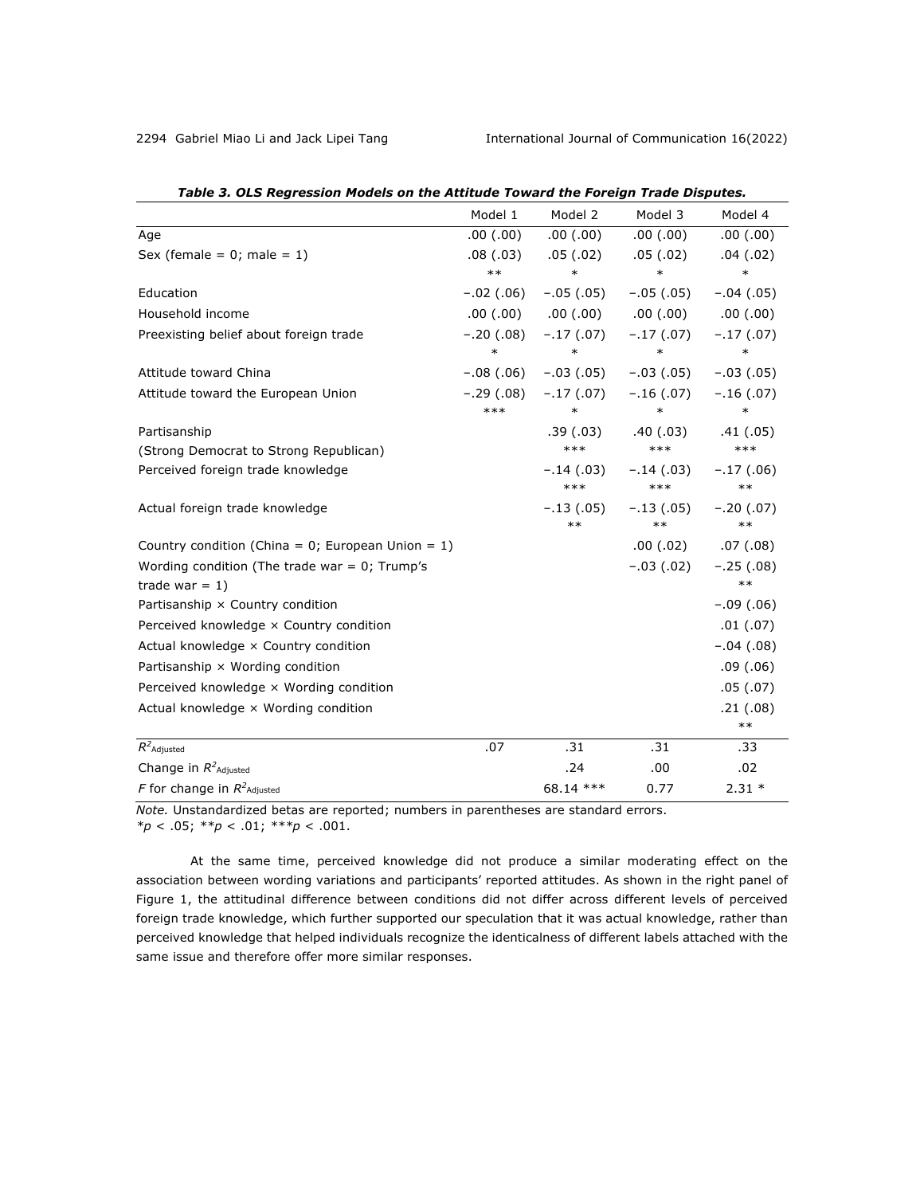|                                                      | Model 1     | Model 2            | Model 3              | Model 4              |
|------------------------------------------------------|-------------|--------------------|----------------------|----------------------|
| Age                                                  | .00(.00)    | .00(0.00)          | .00(.00)             | .00(.00)             |
| Sex (female = $0$ ; male = 1)                        | .08(0.03)   | .05(.02)           | .05(.02)             | .04(.02)             |
|                                                      | $***$       | $\ast$             | $\ast$               | $\ast$               |
| Education                                            | $-.02(.06)$ | $-.05(.05)$        | $-.05(.05)$          | $-.04(.05)$          |
| Household income                                     | .00(.00)    | .00(.00)           | .00(0.00)            | .00(0.00)            |
| Preexisting belief about foreign trade               | $-.20(.08)$ | $-.17(.07)$        | $-.17(.07)$          | $-.17(.07)$          |
|                                                      | $\ast$      | $\ast$             | $\ast$               | $\ast$               |
| Attitude toward China                                | $-.08(.06)$ | $-.03(.05)$        | $-.03(.05)$          | $-.03(.05)$          |
| Attitude toward the European Union                   | $-.29(.08)$ | $-.17(.07)$        | $-.16(.07)$          | $-.16(.07)$          |
|                                                      | $***$       | $\ast$             | $\ast$               | $\ast$               |
| Partisanship                                         |             | .39 (.03)          | .40 (.03)            | .41(.05)             |
| (Strong Democrat to Strong Republican)               |             | $***$              | $***$                | $***$                |
| Perceived foreign trade knowledge                    |             | $-.14(.03)$<br>*** | $-.14(.03)$<br>$***$ | $-.17(.06)$<br>$***$ |
| Actual foreign trade knowledge                       |             | $-.13(.05)$        | $-.13(.05)$          | $-.20(.07)$          |
|                                                      |             | $***$              | $***$                | $***$                |
| Country condition (China = $0$ ; European Union = 1) |             |                    | .00(.02)             | .07(0.08)            |
| Wording condition (The trade war = $0$ ; Trump's     |             |                    | $-.03(.02)$          | $-.25(.08)$          |
| trade war = $1$ )                                    |             |                    |                      | $***$                |
| Partisanship × Country condition                     |             |                    |                      | $-.09(.06)$          |
| Perceived knowledge x Country condition              |             |                    |                      | .01(0.07)            |
| Actual knowledge x Country condition                 |             |                    |                      | $-.04(.08)$          |
| Partisanship × Wording condition                     |             |                    |                      | .09(0.06)            |
| Perceived knowledge x Wording condition              |             |                    |                      | .05(.07)             |
| Actual knowledge $\times$ Wording condition          |             |                    |                      | .21(.08)             |
|                                                      |             |                    |                      | $***$                |
| $R^2$ Adjusted                                       | .07         | .31                | .31                  | .33                  |
| Change in $R^2$ <sub>Adjusted</sub>                  |             | .24                | .00                  | .02                  |
| F for change in $R^2$ <sub>Adjusted</sub>            |             | 68.14 ***          | 0.77                 | $2.31*$              |

| Table 3. OLS Regression Models on the Attitude Toward the Foreign Trade Disputes. |
|-----------------------------------------------------------------------------------|
|-----------------------------------------------------------------------------------|

*Note.* Unstandardized betas are reported; numbers in parentheses are standard errors. *\*p* < .05; *\*\*p* < .01; *\*\*\*p* < .001.

At the same time, perceived knowledge did not produce a similar moderating effect on the association between wording variations and participants' reported attitudes. As shown in the right panel of Figure 1, the attitudinal difference between conditions did not differ across different levels of perceived foreign trade knowledge, which further supported our speculation that it was actual knowledge, rather than perceived knowledge that helped individuals recognize the identicalness of different labels attached with the same issue and therefore offer more similar responses.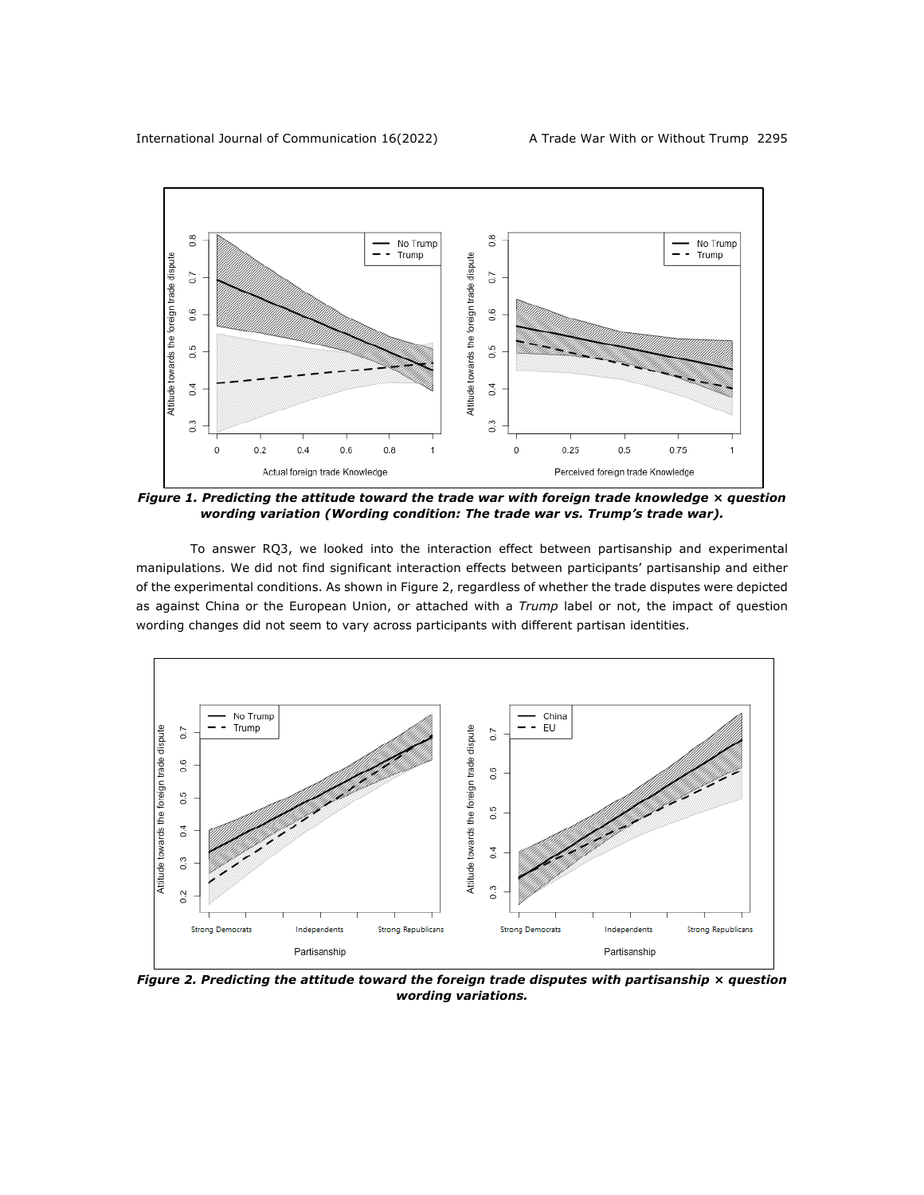

*Figure 1. Predicting the attitude toward the trade war with foreign trade knowledge × question wording variation (Wording condition: The trade war vs. Trump's trade war).*

To answer RQ3, we looked into the interaction effect between partisanship and experimental manipulations. We did not find significant interaction effects between participants' partisanship and either of the experimental conditions. As shown in Figure 2, regardless of whether the trade disputes were depicted as against China or the European Union, or attached with a *Trump* label or not, the impact of question wording changes did not seem to vary across participants with different partisan identities.



*Figure 2. Predicting the attitude toward the foreign trade disputes with partisanship × question wording variations.*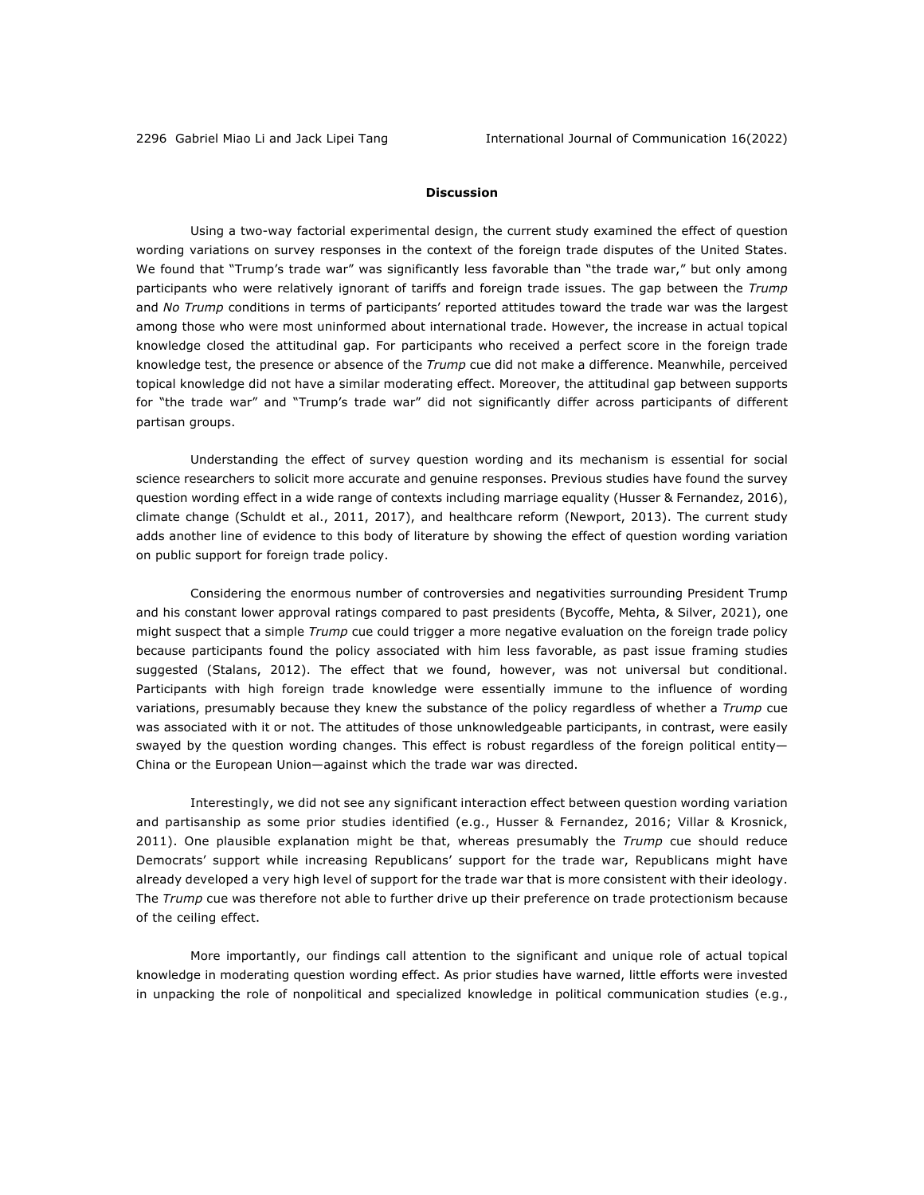### **Discussion**

Using a two-way factorial experimental design, the current study examined the effect of question wording variations on survey responses in the context of the foreign trade disputes of the United States. We found that "Trump's trade war" was significantly less favorable than "the trade war," but only among participants who were relatively ignorant of tariffs and foreign trade issues. The gap between the *Trump* and *No Trump* conditions in terms of participants' reported attitudes toward the trade war was the largest among those who were most uninformed about international trade. However, the increase in actual topical knowledge closed the attitudinal gap. For participants who received a perfect score in the foreign trade knowledge test, the presence or absence of the *Trump* cue did not make a difference. Meanwhile, perceived topical knowledge did not have a similar moderating effect. Moreover, the attitudinal gap between supports for "the trade war" and "Trump's trade war" did not significantly differ across participants of different partisan groups.

Understanding the effect of survey question wording and its mechanism is essential for social science researchers to solicit more accurate and genuine responses. Previous studies have found the survey question wording effect in a wide range of contexts including marriage equality (Husser & Fernandez, 2016), climate change (Schuldt et al., 2011, 2017), and healthcare reform (Newport, 2013). The current study adds another line of evidence to this body of literature by showing the effect of question wording variation on public support for foreign trade policy.

Considering the enormous number of controversies and negativities surrounding President Trump and his constant lower approval ratings compared to past presidents (Bycoffe, Mehta, & Silver, 2021), one might suspect that a simple *Trump* cue could trigger a more negative evaluation on the foreign trade policy because participants found the policy associated with him less favorable, as past issue framing studies suggested (Stalans, 2012). The effect that we found, however, was not universal but conditional. Participants with high foreign trade knowledge were essentially immune to the influence of wording variations, presumably because they knew the substance of the policy regardless of whether a *Trump* cue was associated with it or not. The attitudes of those unknowledgeable participants, in contrast, were easily swayed by the question wording changes. This effect is robust regardless of the foreign political entity-China or the European Union—against which the trade war was directed.

Interestingly, we did not see any significant interaction effect between question wording variation and partisanship as some prior studies identified (e.g., Husser & Fernandez, 2016; Villar & Krosnick, 2011). One plausible explanation might be that, whereas presumably the *Trump* cue should reduce Democrats' support while increasing Republicans' support for the trade war, Republicans might have already developed a very high level of support for the trade war that is more consistent with their ideology. The *Trump* cue was therefore not able to further drive up their preference on trade protectionism because of the ceiling effect.

More importantly, our findings call attention to the significant and unique role of actual topical knowledge in moderating question wording effect. As prior studies have warned, little efforts were invested in unpacking the role of nonpolitical and specialized knowledge in political communication studies (e.g.,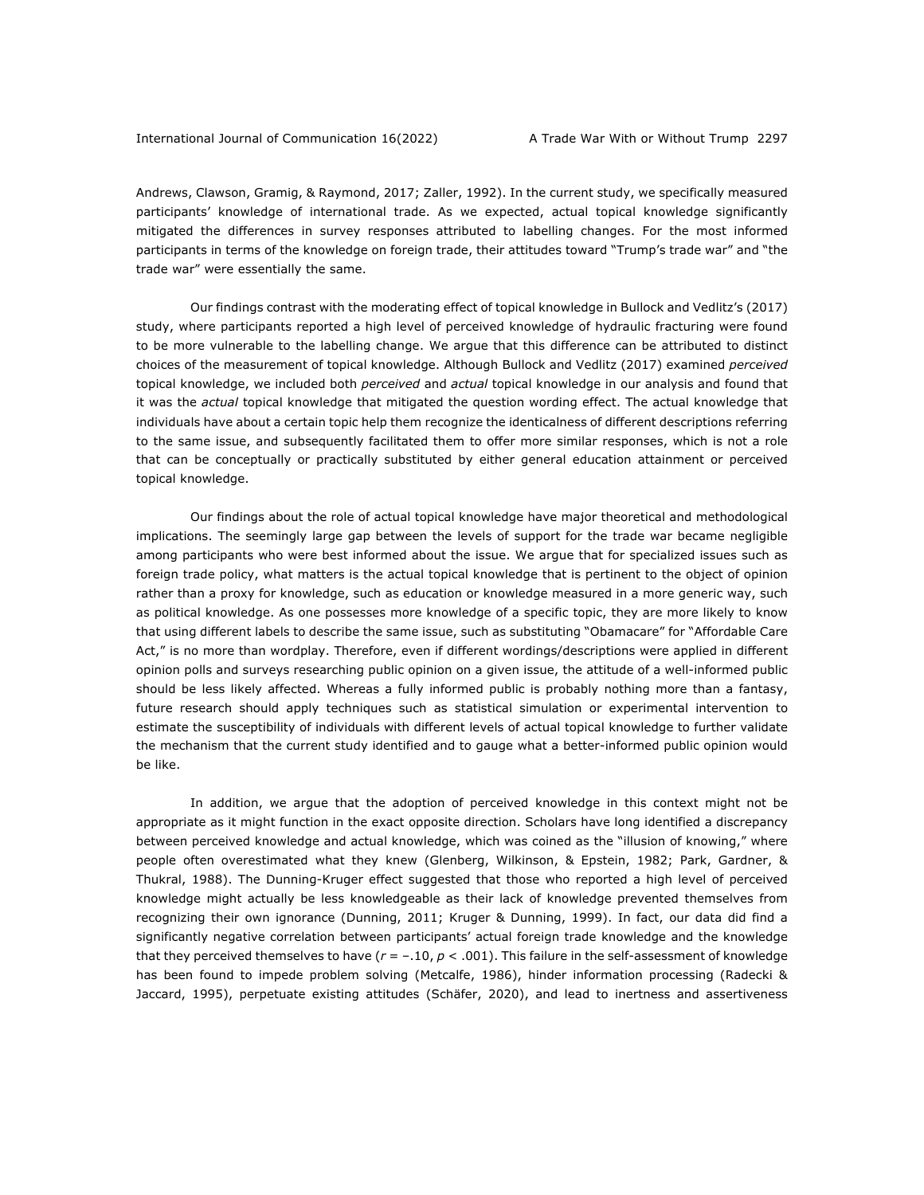Andrews, Clawson, Gramig, & Raymond, 2017; Zaller, 1992). In the current study, we specifically measured participants' knowledge of international trade. As we expected, actual topical knowledge significantly mitigated the differences in survey responses attributed to labelling changes. For the most informed participants in terms of the knowledge on foreign trade, their attitudes toward "Trump's trade war" and "the trade war" were essentially the same.

Our findings contrast with the moderating effect of topical knowledge in Bullock and Vedlitz's (2017) study, where participants reported a high level of perceived knowledge of hydraulic fracturing were found to be more vulnerable to the labelling change. We argue that this difference can be attributed to distinct choices of the measurement of topical knowledge. Although Bullock and Vedlitz (2017) examined *perceived* topical knowledge, we included both *perceived* and *actual* topical knowledge in our analysis and found that it was the *actual* topical knowledge that mitigated the question wording effect. The actual knowledge that individuals have about a certain topic help them recognize the identicalness of different descriptions referring to the same issue, and subsequently facilitated them to offer more similar responses, which is not a role that can be conceptually or practically substituted by either general education attainment or perceived topical knowledge.

Our findings about the role of actual topical knowledge have major theoretical and methodological implications. The seemingly large gap between the levels of support for the trade war became negligible among participants who were best informed about the issue. We argue that for specialized issues such as foreign trade policy, what matters is the actual topical knowledge that is pertinent to the object of opinion rather than a proxy for knowledge, such as education or knowledge measured in a more generic way, such as political knowledge. As one possesses more knowledge of a specific topic, they are more likely to know that using different labels to describe the same issue, such as substituting "Obamacare" for "Affordable Care Act," is no more than wordplay. Therefore, even if different wordings/descriptions were applied in different opinion polls and surveys researching public opinion on a given issue, the attitude of a well-informed public should be less likely affected. Whereas a fully informed public is probably nothing more than a fantasy, future research should apply techniques such as statistical simulation or experimental intervention to estimate the susceptibility of individuals with different levels of actual topical knowledge to further validate the mechanism that the current study identified and to gauge what a better-informed public opinion would be like.

In addition, we argue that the adoption of perceived knowledge in this context might not be appropriate as it might function in the exact opposite direction. Scholars have long identified a discrepancy between perceived knowledge and actual knowledge, which was coined as the "illusion of knowing," where people often overestimated what they knew (Glenberg, Wilkinson, & Epstein, 1982; Park, Gardner, & Thukral, 1988). The Dunning-Kruger effect suggested that those who reported a high level of perceived knowledge might actually be less knowledgeable as their lack of knowledge prevented themselves from recognizing their own ignorance (Dunning, 2011; Kruger & Dunning, 1999). In fact, our data did find a significantly negative correlation between participants' actual foreign trade knowledge and the knowledge that they perceived themselves to have (*r* = –.10, *p* < .001). This failure in the self-assessment of knowledge has been found to impede problem solving (Metcalfe, 1986), hinder information processing (Radecki & Jaccard, 1995), perpetuate existing attitudes (Schäfer, 2020), and lead to inertness and assertiveness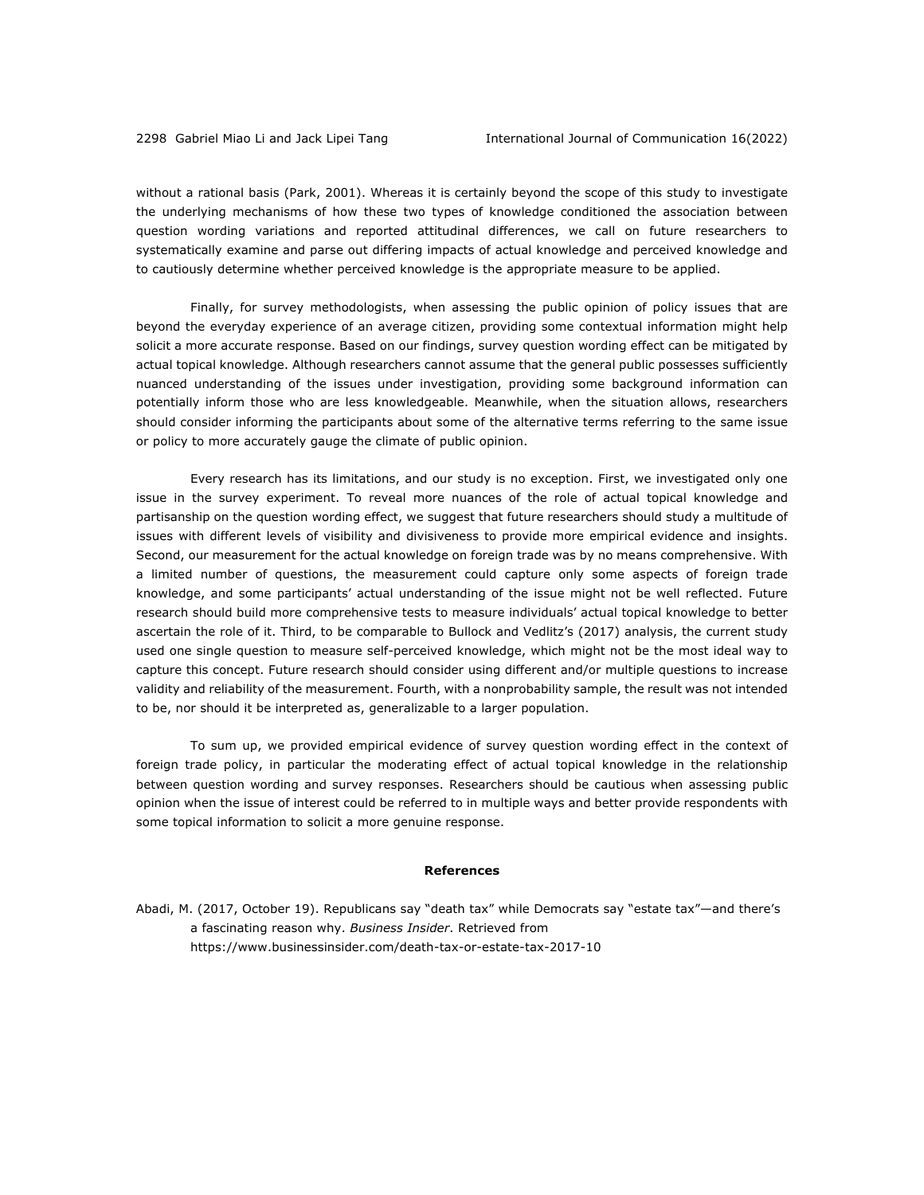without a rational basis (Park, 2001). Whereas it is certainly beyond the scope of this study to investigate the underlying mechanisms of how these two types of knowledge conditioned the association between question wording variations and reported attitudinal differences, we call on future researchers to systematically examine and parse out differing impacts of actual knowledge and perceived knowledge and to cautiously determine whether perceived knowledge is the appropriate measure to be applied.

Finally, for survey methodologists, when assessing the public opinion of policy issues that are beyond the everyday experience of an average citizen, providing some contextual information might help solicit a more accurate response. Based on our findings, survey question wording effect can be mitigated by actual topical knowledge. Although researchers cannot assume that the general public possesses sufficiently nuanced understanding of the issues under investigation, providing some background information can potentially inform those who are less knowledgeable. Meanwhile, when the situation allows, researchers should consider informing the participants about some of the alternative terms referring to the same issue or policy to more accurately gauge the climate of public opinion.

Every research has its limitations, and our study is no exception. First, we investigated only one issue in the survey experiment. To reveal more nuances of the role of actual topical knowledge and partisanship on the question wording effect, we suggest that future researchers should study a multitude of issues with different levels of visibility and divisiveness to provide more empirical evidence and insights. Second, our measurement for the actual knowledge on foreign trade was by no means comprehensive. With a limited number of questions, the measurement could capture only some aspects of foreign trade knowledge, and some participants' actual understanding of the issue might not be well reflected. Future research should build more comprehensive tests to measure individuals' actual topical knowledge to better ascertain the role of it. Third, to be comparable to Bullock and Vedlitz's (2017) analysis, the current study used one single question to measure self-perceived knowledge, which might not be the most ideal way to capture this concept. Future research should consider using different and/or multiple questions to increase validity and reliability of the measurement. Fourth, with a nonprobability sample, the result was not intended to be, nor should it be interpreted as, generalizable to a larger population.

To sum up, we provided empirical evidence of survey question wording effect in the context of foreign trade policy, in particular the moderating effect of actual topical knowledge in the relationship between question wording and survey responses. Researchers should be cautious when assessing public opinion when the issue of interest could be referred to in multiple ways and better provide respondents with some topical information to solicit a more genuine response.

#### **References**

Abadi, M. (2017, October 19). Republicans say "death tax" while Democrats say "estate tax"—and there's a fascinating reason why. *Business Insider*. Retrieved from https://www.businessinsider.com/death-tax-or-estate-tax-2017-10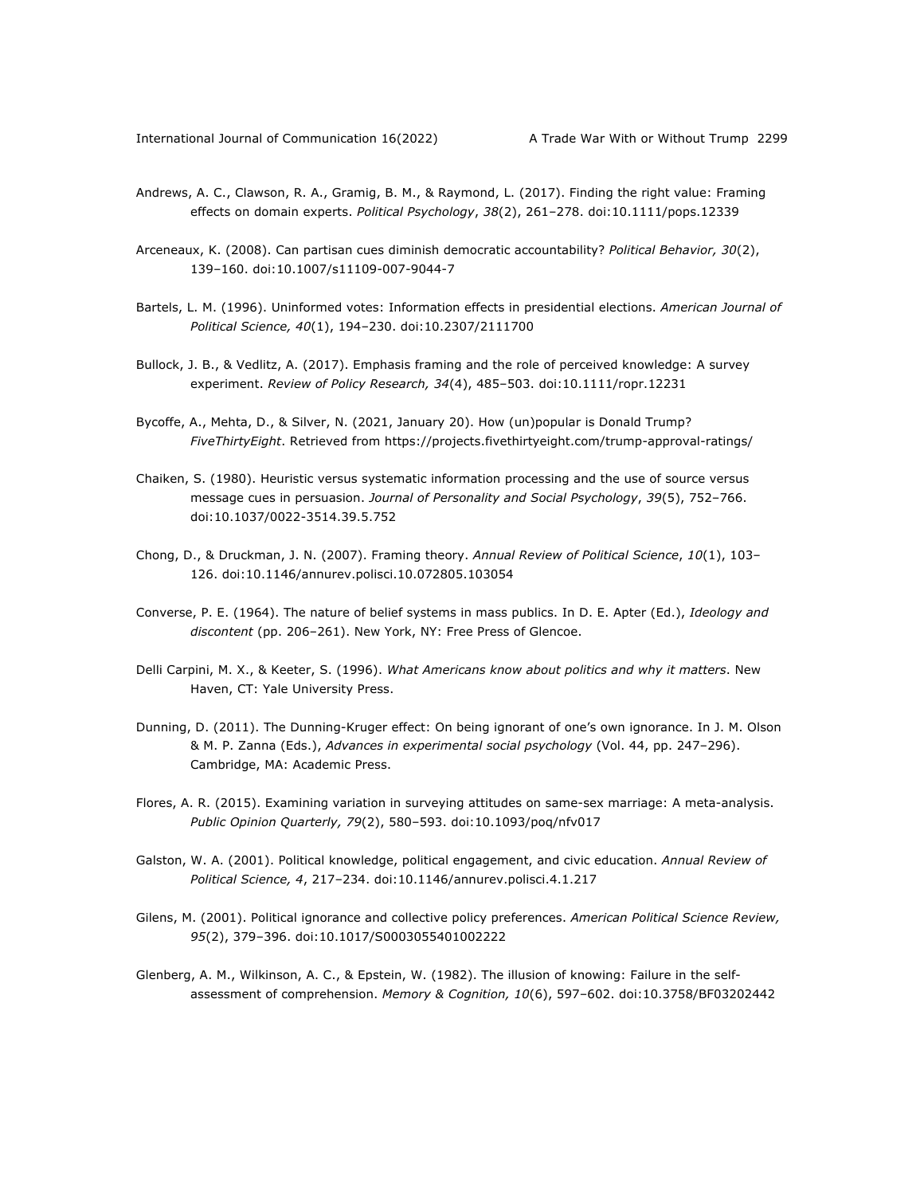- Andrews, A. C., Clawson, R. A., Gramig, B. M., & Raymond, L. (2017). Finding the right value: Framing effects on domain experts. *Political Psychology*, *38*(2), 261–278. doi:10.1111/pops.12339
- Arceneaux, K. (2008). Can partisan cues diminish democratic accountability? *Political Behavior, 30*(2), 139–160. doi:10.1007/s11109-007-9044-7
- Bartels, L. M. (1996). Uninformed votes: Information effects in presidential elections. *American Journal of Political Science, 40*(1), 194–230. doi:10.2307/2111700
- Bullock, J. B., & Vedlitz, A. (2017). Emphasis framing and the role of perceived knowledge: A survey experiment. *Review of Policy Research, 34*(4), 485–503. doi:10.1111/ropr.12231
- Bycoffe, A., Mehta, D., & Silver, N. (2021, January 20). How (un)popular is Donald Trump? *FiveThirtyEight*. Retrieved from https://projects.fivethirtyeight.com/trump-approval-ratings/
- Chaiken, S. (1980). Heuristic versus systematic information processing and the use of source versus message cues in persuasion. *Journal of Personality and Social Psychology*, *39*(5), 752–766. doi:10.1037/0022-3514.39.5.752
- Chong, D., & Druckman, J. N. (2007). Framing theory. *Annual Review of Political Science*, *10*(1), 103– 126. doi:10.1146/annurev.polisci.10.072805.103054
- Converse, P. E. (1964). The nature of belief systems in mass publics. In D. E. Apter (Ed.), *Ideology and discontent* (pp. 206–261). New York, NY: Free Press of Glencoe.
- Delli Carpini, M. X., & Keeter, S. (1996). *What Americans know about politics and why it matters*. New Haven, CT: Yale University Press.
- Dunning, D. (2011). The Dunning-Kruger effect: On being ignorant of one's own ignorance. In J. M. Olson & M. P. Zanna (Eds.), *Advances in experimental social psychology* (Vol. 44, pp. 247–296). Cambridge, MA: Academic Press.
- Flores, A. R. (2015). Examining variation in surveying attitudes on same-sex marriage: A meta-analysis. *Public Opinion Quarterly, 79*(2), 580–593. doi:10.1093/poq/nfv017
- Galston, W. A. (2001). Political knowledge, political engagement, and civic education. *Annual Review of Political Science, 4*, 217–234. doi:10.1146/annurev.polisci.4.1.217
- Gilens, M. (2001). Political ignorance and collective policy preferences. *American Political Science Review, 95*(2), 379–396. doi:10.1017/S0003055401002222
- Glenberg, A. M., Wilkinson, A. C., & Epstein, W. (1982). The illusion of knowing: Failure in the selfassessment of comprehension. *Memory & Cognition, 10*(6), 597–602. doi:10.3758/BF03202442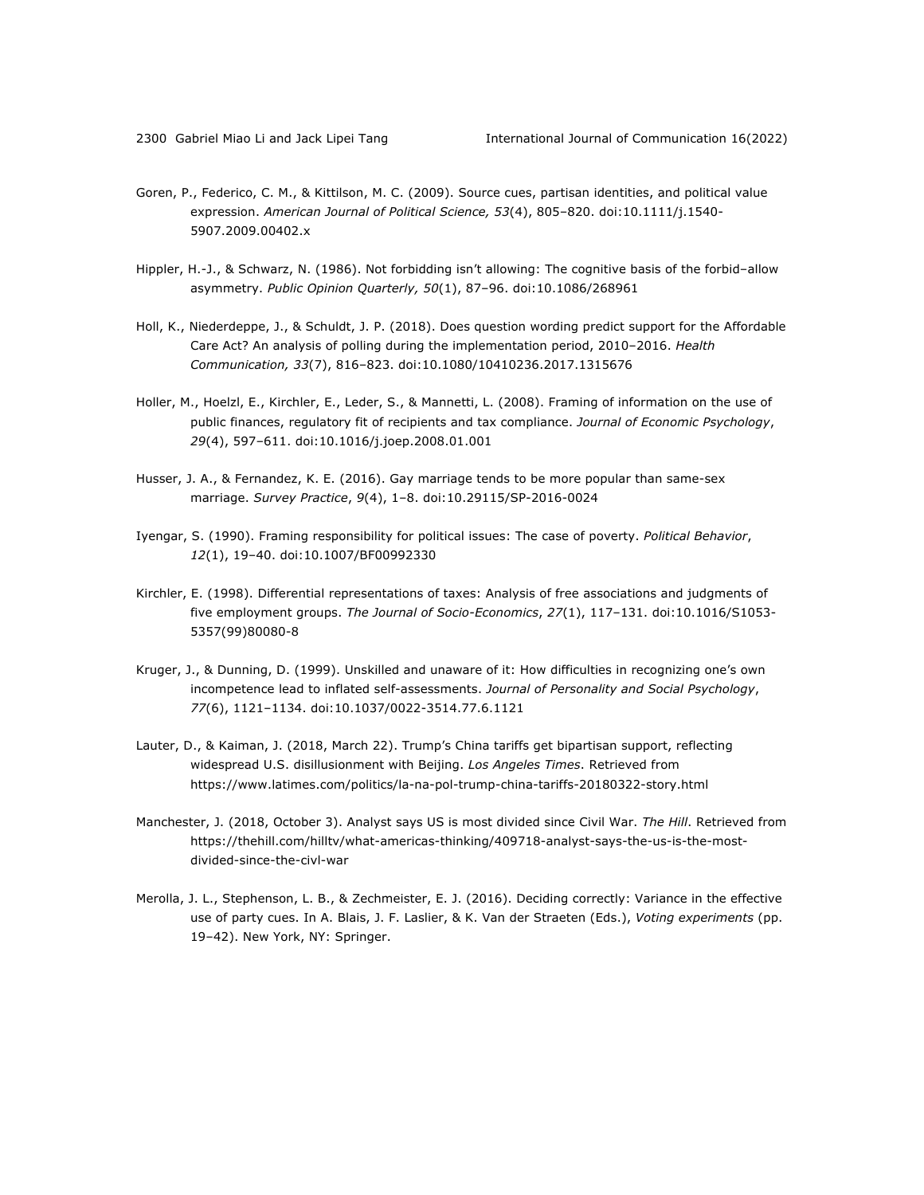- Goren, P., Federico, C. M., & Kittilson, M. C. (2009). Source cues, partisan identities, and political value expression. *American Journal of Political Science, 53*(4), 805–820. doi:10.1111/j.1540- 5907.2009.00402.x
- Hippler, H.-J., & Schwarz, N. (1986). Not forbidding isn't allowing: The cognitive basis of the forbid–allow asymmetry. *Public Opinion Quarterly, 50*(1), 87–96. doi:10.1086/268961
- Holl, K., Niederdeppe, J., & Schuldt, J. P. (2018). Does question wording predict support for the Affordable Care Act? An analysis of polling during the implementation period, 2010–2016. *Health Communication, 33*(7), 816–823. doi:10.1080/10410236.2017.1315676
- Holler, M., Hoelzl, E., Kirchler, E., Leder, S., & Mannetti, L. (2008). Framing of information on the use of public finances, regulatory fit of recipients and tax compliance. *Journal of Economic Psychology*, *29*(4), 597–611. doi:10.1016/j.joep.2008.01.001
- Husser, J. A., & Fernandez, K. E. (2016). Gay marriage tends to be more popular than same-sex marriage. *Survey Practice*, *9*(4), 1–8. doi:10.29115/SP-2016-0024
- Iyengar, S. (1990). Framing responsibility for political issues: The case of poverty. *Political Behavior*, *12*(1), 19–40. doi:10.1007/BF00992330
- Kirchler, E. (1998). Differential representations of taxes: Analysis of free associations and judgments of five employment groups. *The Journal of Socio-Economics*, *27*(1), 117–131. doi:10.1016/S1053- 5357(99)80080-8
- Kruger, J., & Dunning, D. (1999). Unskilled and unaware of it: How difficulties in recognizing one's own incompetence lead to inflated self-assessments. *Journal of Personality and Social Psychology*, *77*(6), 1121–1134. doi:10.1037/0022-3514.77.6.1121
- Lauter, D., & Kaiman, J. (2018, March 22). Trump's China tariffs get bipartisan support, reflecting widespread U.S. disillusionment with Beijing. *Los Angeles Times*. Retrieved from https://www.latimes.com/politics/la-na-pol-trump-china-tariffs-20180322-story.html
- Manchester, J. (2018, October 3). Analyst says US is most divided since Civil War. *The Hill*. Retrieved from https://thehill.com/hilltv/what-americas-thinking/409718-analyst-says-the-us-is-the-mostdivided-since-the-civl-war
- Merolla, J. L., Stephenson, L. B., & Zechmeister, E. J. (2016). Deciding correctly: Variance in the effective use of party cues. In A. Blais, J. F. Laslier, & K. Van der Straeten (Eds.), *Voting experiments* (pp. 19–42). New York, NY: Springer.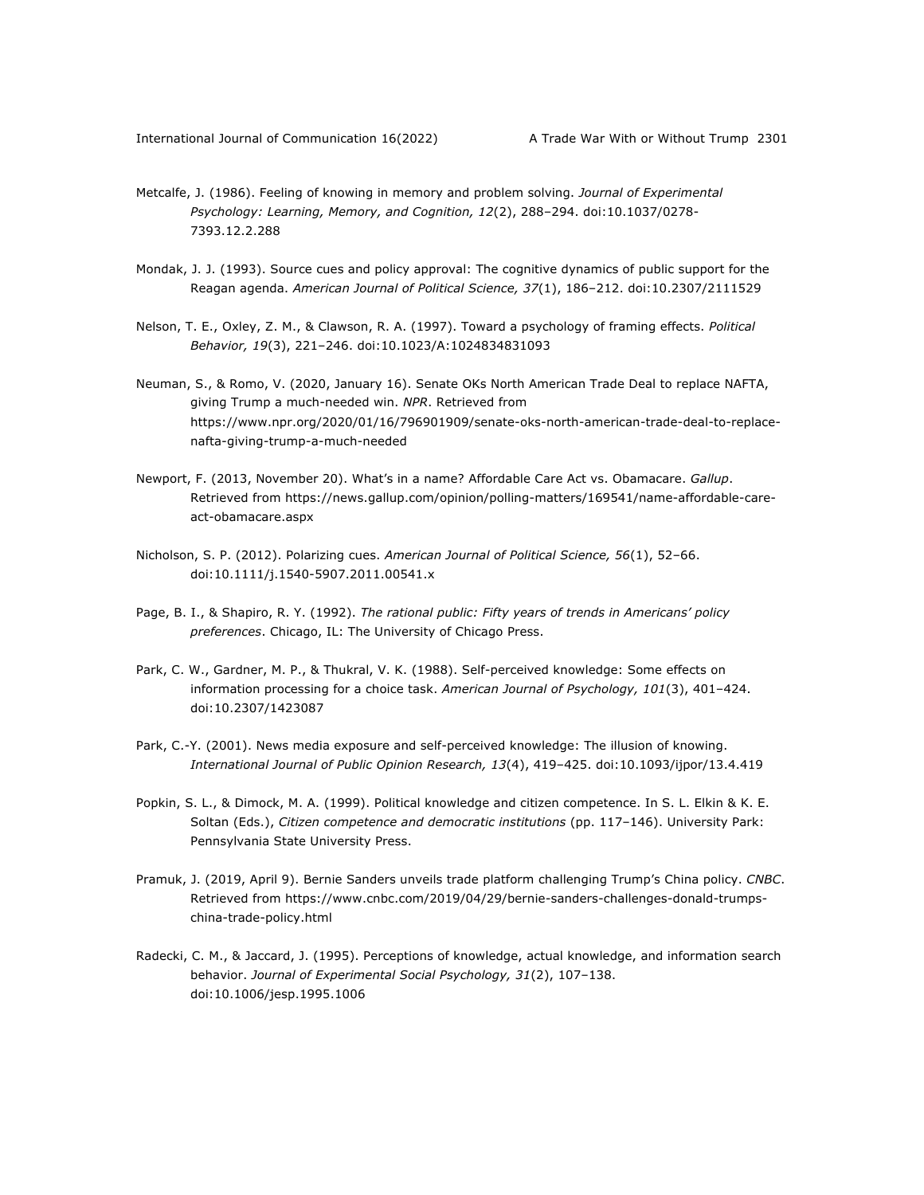- Metcalfe, J. (1986). Feeling of knowing in memory and problem solving. *Journal of Experimental Psychology: Learning, Memory, and Cognition, 12*(2), 288–294. doi:10.1037/0278- 7393.12.2.288
- Mondak, J. J. (1993). Source cues and policy approval: The cognitive dynamics of public support for the Reagan agenda. *American Journal of Political Science, 37*(1), 186–212. doi:10.2307/2111529
- Nelson, T. E., Oxley, Z. M., & Clawson, R. A. (1997). Toward a psychology of framing effects. *Political Behavior, 19*(3), 221–246. doi:10.1023/A:1024834831093
- Neuman, S., & Romo, V. (2020, January 16). Senate OKs North American Trade Deal to replace NAFTA, giving Trump a much-needed win. *NPR*. Retrieved from https://www.npr.org/2020/01/16/796901909/senate-oks-north-american-trade-deal-to-replacenafta-giving-trump-a-much-needed
- Newport, F. (2013, November 20). What's in a name? Affordable Care Act vs. Obamacare. *Gallup*. Retrieved from https://news.gallup.com/opinion/polling-matters/169541/name-affordable-careact-obamacare.aspx
- Nicholson, S. P. (2012). Polarizing cues. *American Journal of Political Science, 56*(1), 52–66. doi:10.1111/j.1540-5907.2011.00541.x
- Page, B. I., & Shapiro, R. Y. (1992). *The rational public: Fifty years of trends in Americans' policy preferences*. Chicago, IL: The University of Chicago Press.
- Park, C. W., Gardner, M. P., & Thukral, V. K. (1988). Self-perceived knowledge: Some effects on information processing for a choice task. *American Journal of Psychology, 101*(3), 401–424. doi:10.2307/1423087
- Park, C.-Y. (2001). News media exposure and self-perceived knowledge: The illusion of knowing. *International Journal of Public Opinion Research, 13*(4), 419–425. doi:10.1093/ijpor/13.4.419
- Popkin, S. L., & Dimock, M. A. (1999). Political knowledge and citizen competence. In S. L. Elkin & K. E. Soltan (Eds.), *Citizen competence and democratic institutions* (pp. 117–146). University Park: Pennsylvania State University Press.
- Pramuk, J. (2019, April 9). Bernie Sanders unveils trade platform challenging Trump's China policy. *CNBC*. Retrieved from https://www.cnbc.com/2019/04/29/bernie-sanders-challenges-donald-trumpschina-trade-policy.html
- Radecki, C. M., & Jaccard, J. (1995). Perceptions of knowledge, actual knowledge, and information search behavior. *Journal of Experimental Social Psychology, 31*(2), 107–138. doi:10.1006/jesp.1995.1006